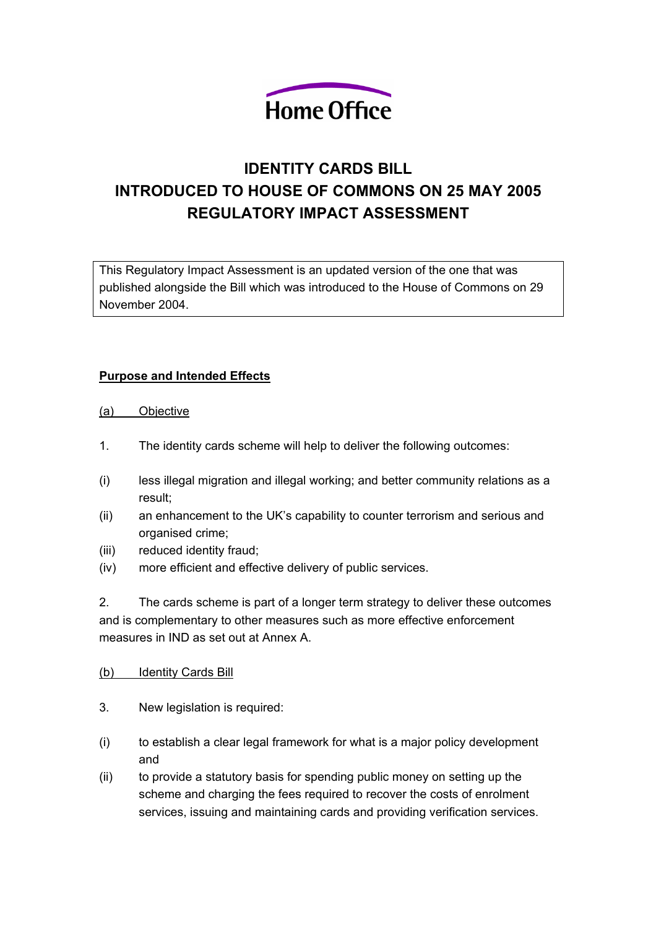

# **IDENTITY CARDS BILL INTRODUCED TO HOUSE OF COMMONS ON 25 MAY 2005 REGULATORY IMPACT ASSESSMENT**

This Regulatory Impact Assessment is an updated version of the one that was published alongside the Bill which was introduced to the House of Commons on 29 November 2004.

#### **Purpose and Intended Effects**

- (a) Objective
- 1. The identity cards scheme will help to deliver the following outcomes:
- (i) less illegal migration and illegal working; and better community relations as a result;
- (ii) an enhancement to the UK's capability to counter terrorism and serious and organised crime;
- (iii) reduced identity fraud;
- (iv) more efficient and effective delivery of public services.

2. The cards scheme is part of a longer term strategy to deliver these outcomes and is complementary to other measures such as more effective enforcement measures in IND as set out at Annex A.

- (b) Identity Cards Bill
- 3. New legislation is required:
- (i) to establish a clear legal framework for what is a major policy development and
- (ii) to provide a statutory basis for spending public money on setting up the scheme and charging the fees required to recover the costs of enrolment services, issuing and maintaining cards and providing verification services.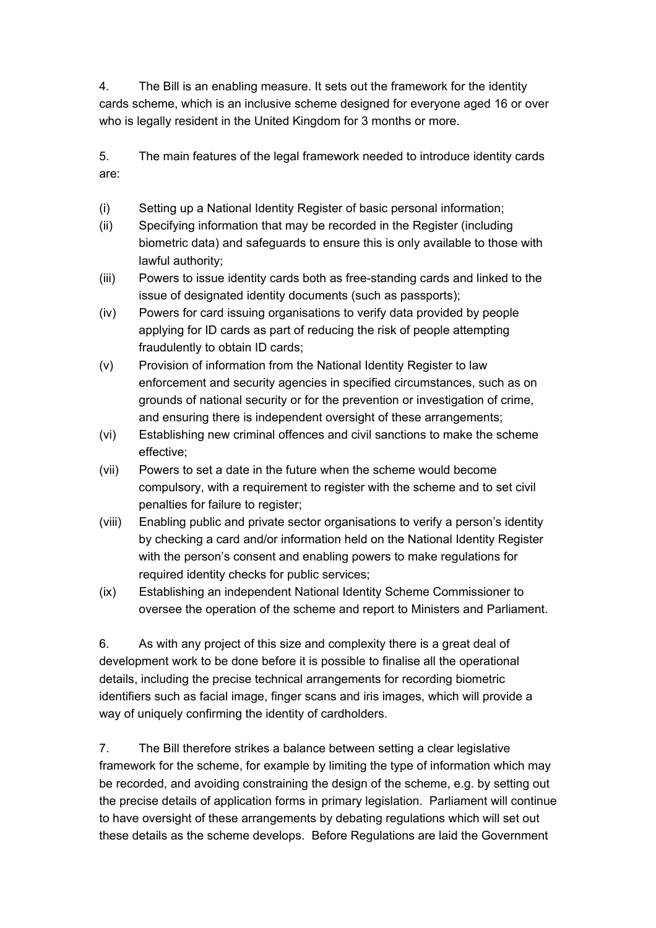4. The Bill is an enabling measure. It sets out the framework for the identity cards scheme, which is an inclusive scheme designed for everyone aged 16 or over who is legally resident in the United Kingdom for 3 months or more.

5. The main features of the legal framework needed to introduce identity cards are:

- (i) Setting up a National Identity Register of basic personal information;
- (ii) Specifying information that may be recorded in the Register (including biometric data) and safeguards to ensure this is only available to those with lawful authority;
- (iii) Powers to issue identity cards both as free-standing cards and linked to the issue of designated identity documents (such as passports);
- (iv) Powers for card issuing organisations to verify data provided by people applying for ID cards as part of reducing the risk of people attempting fraudulently to obtain ID cards;
- (v) Provision of information from the National Identity Register to law enforcement and security agencies in specified circumstances, such as on grounds of national security or for the prevention or investigation of crime, and ensuring there is independent oversight of these arrangements;
- (vi) Establishing new criminal offences and civil sanctions to make the scheme effective;
- (vii) Powers to set a date in the future when the scheme would become compulsory, with a requirement to register with the scheme and to set civil penalties for failure to register;
- (viii) Enabling public and private sector organisations to verify a person's identity by checking a card and/or information held on the National Identity Register with the person's consent and enabling powers to make regulations for required identity checks for public services;
- (ix) Establishing an independent National Identity Scheme Commissioner to oversee the operation of the scheme and report to Ministers and Parliament.

6. As with any project of this size and complexity there is a great deal of development work to be done before it is possible to finalise all the operational details, including the precise technical arrangements for recording biometric identifiers such as facial image, finger scans and iris images, which will provide a way of uniquely confirming the identity of cardholders.

7. The Bill therefore strikes a balance between setting a clear legislative framework for the scheme, for example by limiting the type of information which may be recorded, and avoiding constraining the design of the scheme, e.g. by setting out the precise details of application forms in primary legislation. Parliament will continue to have oversight of these arrangements by debating regulations which will set out these details as the scheme develops. Before Regulations are laid the Government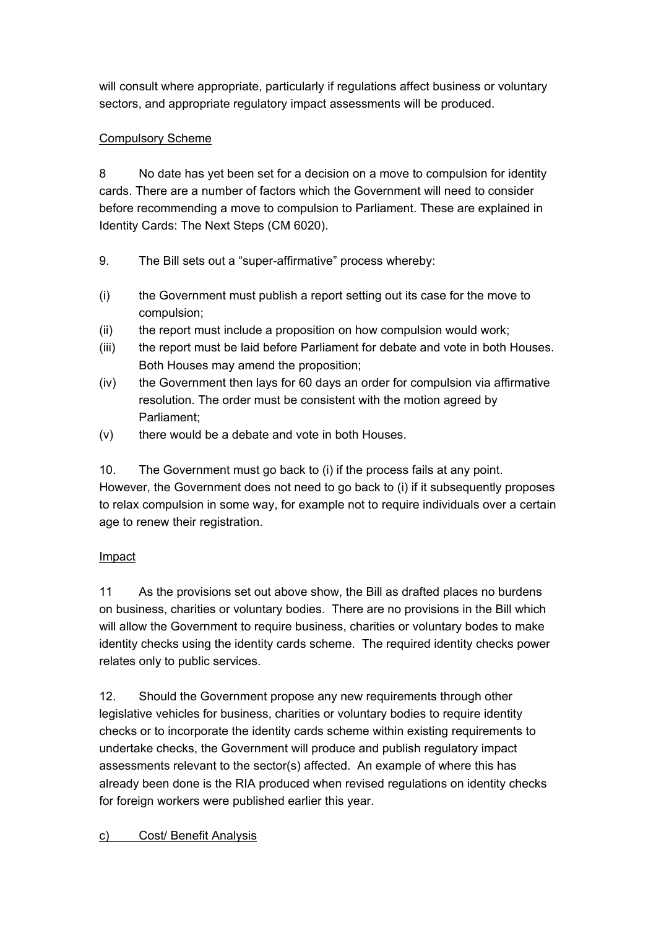will consult where appropriate, particularly if regulations affect business or voluntary sectors, and appropriate regulatory impact assessments will be produced.

#### Compulsory Scheme

8 No date has yet been set for a decision on a move to compulsion for identity cards. There are a number of factors which the Government will need to consider before recommending a move to compulsion to Parliament. These are explained in Identity Cards: The Next Steps (CM 6020).

- 9. The Bill sets out a "super-affirmative" process whereby:
- (i) the Government must publish a report setting out its case for the move to compulsion;
- (ii) the report must include a proposition on how compulsion would work;
- (iii) the report must be laid before Parliament for debate and vote in both Houses. Both Houses may amend the proposition;
- (iv) the Government then lays for 60 days an order for compulsion via affirmative resolution. The order must be consistent with the motion agreed by Parliament;
- (v) there would be a debate and vote in both Houses.

10. The Government must go back to (i) if the process fails at any point. However, the Government does not need to go back to (i) if it subsequently proposes to relax compulsion in some way, for example not to require individuals over a certain age to renew their registration.

## Impact

11 As the provisions set out above show, the Bill as drafted places no burdens on business, charities or voluntary bodies. There are no provisions in the Bill which will allow the Government to require business, charities or voluntary bodes to make identity checks using the identity cards scheme. The required identity checks power relates only to public services.

12. Should the Government propose any new requirements through other legislative vehicles for business, charities or voluntary bodies to require identity checks or to incorporate the identity cards scheme within existing requirements to undertake checks, the Government will produce and publish regulatory impact assessments relevant to the sector(s) affected. An example of where this has already been done is the RIA produced when revised regulations on identity checks for foreign workers were published earlier this year.

## c) Cost/ Benefit Analysis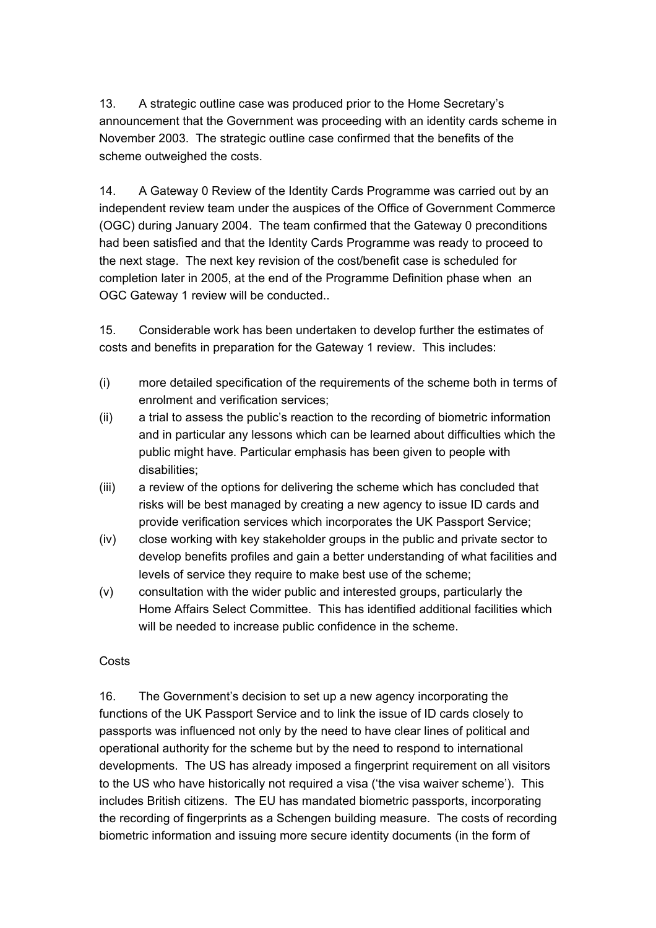13. A strategic outline case was produced prior to the Home Secretary's announcement that the Government was proceeding with an identity cards scheme in November 2003. The strategic outline case confirmed that the benefits of the scheme outweighed the costs.

14. A Gateway 0 Review of the Identity Cards Programme was carried out by an independent review team under the auspices of the Office of Government Commerce (OGC) during January 2004. The team confirmed that the Gateway 0 preconditions had been satisfied and that the Identity Cards Programme was ready to proceed to the next stage. The next key revision of the cost/benefit case is scheduled for completion later in 2005, at the end of the Programme Definition phase when an OGC Gateway 1 review will be conducted..

15. Considerable work has been undertaken to develop further the estimates of costs and benefits in preparation for the Gateway 1 review. This includes:

- (i) more detailed specification of the requirements of the scheme both in terms of enrolment and verification services;
- (ii) a trial to assess the public's reaction to the recording of biometric information and in particular any lessons which can be learned about difficulties which the public might have. Particular emphasis has been given to people with disabilities;
- (iii) a review of the options for delivering the scheme which has concluded that risks will be best managed by creating a new agency to issue ID cards and provide verification services which incorporates the UK Passport Service;
- (iv) close working with key stakeholder groups in the public and private sector to develop benefits profiles and gain a better understanding of what facilities and levels of service they require to make best use of the scheme;
- (v) consultation with the wider public and interested groups, particularly the Home Affairs Select Committee. This has identified additional facilities which will be needed to increase public confidence in the scheme.

#### **Costs**

16. The Government's decision to set up a new agency incorporating the functions of the UK Passport Service and to link the issue of ID cards closely to passports was influenced not only by the need to have clear lines of political and operational authority for the scheme but by the need to respond to international developments. The US has already imposed a fingerprint requirement on all visitors to the US who have historically not required a visa ('the visa waiver scheme'). This includes British citizens. The EU has mandated biometric passports, incorporating the recording of fingerprints as a Schengen building measure. The costs of recording biometric information and issuing more secure identity documents (in the form of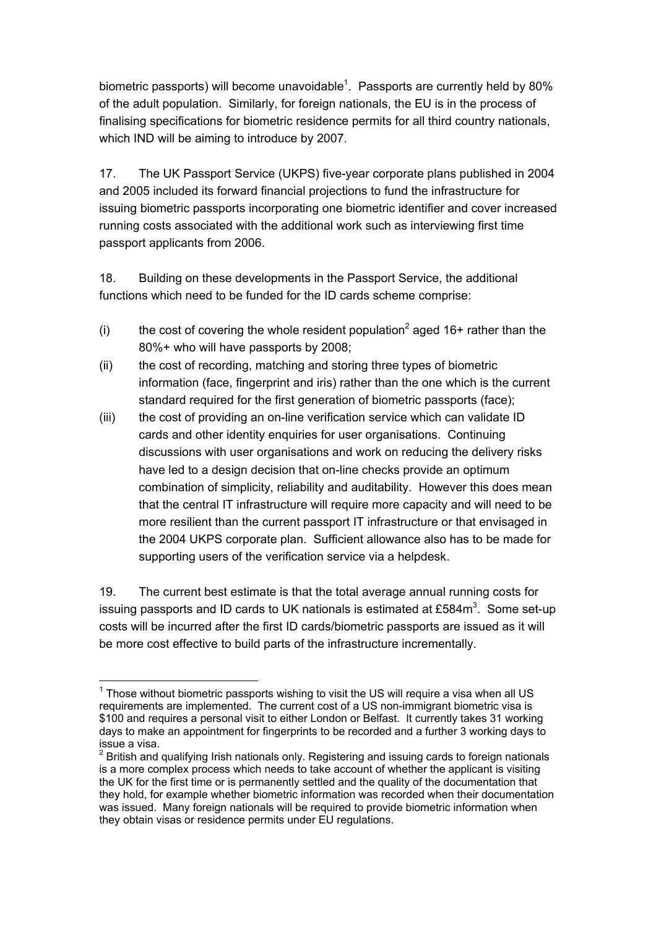biometric passports) will become unavoidable<sup>[1](#page-4-0)</sup>. Passports are currently held by 80% of the adult population. Similarly, for foreign nationals, the EU is in the process of finalising specifications for biometric residence permits for all third country nationals, which IND will be aiming to introduce by 2007.

17. The UK Passport Service (UKPS) five-year corporate plans published in 2004 and 2005 included its forward financial projections to fund the infrastructure for issuing biometric passports incorporating one biometric identifier and cover increased running costs associated with the additional work such as interviewing first time passport applicants from 2006.

18. Building on these developments in the Passport Service, the additional functions which need to be funded for the ID cards scheme comprise:

- (i) the cost of covering the whole resident population<sup>[2](#page-4-1)</sup> aged 16+ rather than the 80%+ who will have passports by 2008;
- (ii) the cost of recording, matching and storing three types of biometric information (face, fingerprint and iris) rather than the one which is the current standard required for the first generation of biometric passports (face);
- (iii) the cost of providing an on-line verification service which can validate ID cards and other identity enquiries for user organisations. Continuing discussions with user organisations and work on reducing the delivery risks have led to a design decision that on-line checks provide an optimum combination of simplicity, reliability and auditability. However this does mean that the central IT infrastructure will require more capacity and will need to be more resilient than the current passport IT infrastructure or that envisaged in the 2004 UKPS corporate plan. Sufficient allowance also has to be made for supporting users of the verification service via a helpdesk.

19. The current best estimate is that the total average annual running costs for issuing passports and ID cards to UK nationals is estimated at £584 $\text{m}^3$  $\text{m}^3$ . Some set-up costs will be incurred after the first ID cards/biometric passports are issued as it will be more cost effective to build parts of the infrastructure incrementally.

<span id="page-4-0"></span> $\overline{a}$  $1$  Those without biometric passports wishing to visit the US will require a visa when all US requirements are implemented. The current cost of a US non-immigrant biometric visa is \$100 and requires a personal visit to either London or Belfast. It currently takes 31 working days to make an appointment for fingerprints to be recorded and a further 3 working days to issue a visa.

<span id="page-4-2"></span><span id="page-4-1"></span> $2$  British and qualifying Irish nationals only. Registering and issuing cards to foreign nationals is a more complex process which needs to take account of whether the applicant is visiting the UK for the first time or is permanently settled and the quality of the documentation that they hold, for example whether biometric information was recorded when their documentation was issued. Many foreign nationals will be required to provide biometric information when they obtain visas or residence permits under EU regulations.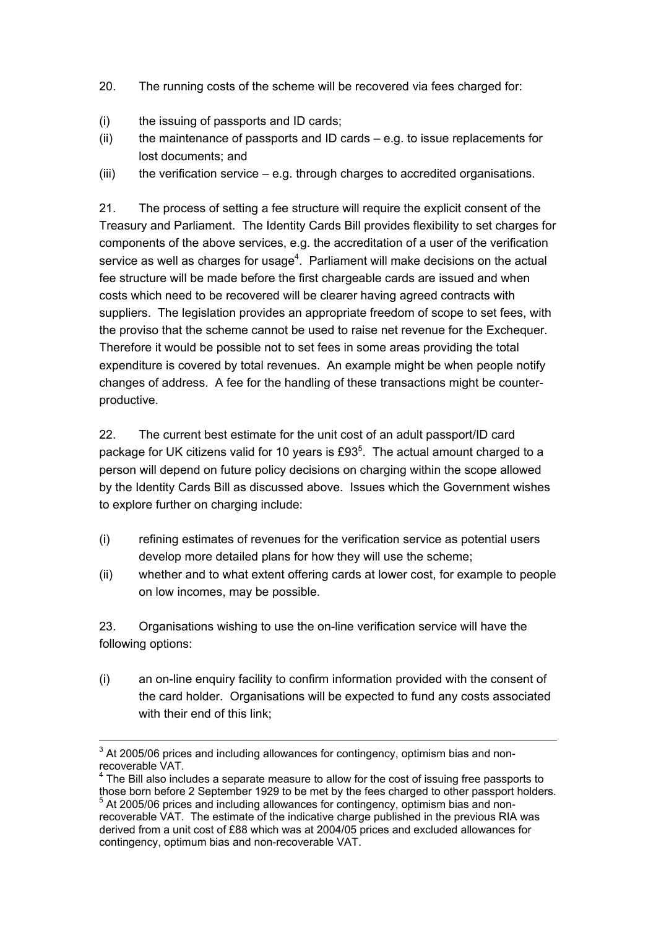- 20. The running costs of the scheme will be recovered via fees charged for:
- (i) the issuing of passports and ID cards;
- (ii) the maintenance of passports and ID cards  $-$  e.g. to issue replacements for lost documents; and
- (iii) the verification service  $-$  e.g. through charges to accredited organisations.

21. The process of setting a fee structure will require the explicit consent of the Treasury and Parliament. The Identity Cards Bill provides flexibility to set charges for components of the above services, e.g. the accreditation of a user of the verification service as well as charges for usage<sup>[4](#page-5-0)</sup>. Parliament will make decisions on the actual fee structure will be made before the first chargeable cards are issued and when costs which need to be recovered will be clearer having agreed contracts with suppliers. The legislation provides an appropriate freedom of scope to set fees, with the proviso that the scheme cannot be used to raise net revenue for the Exchequer. Therefore it would be possible not to set fees in some areas providing the total expenditure is covered by total revenues. An example might be when people notify changes of address. A fee for the handling of these transactions might be counterproductive.

22. The current best estimate for the unit cost of an adult passport/ID card package for UK citizens valid for 10 years is £93<sup>[5](#page-5-1)</sup>. The actual amount charged to a person will depend on future policy decisions on charging within the scope allowed by the Identity Cards Bill as discussed above. Issues which the Government wishes to explore further on charging include:

- (i) refining estimates of revenues for the verification service as potential users develop more detailed plans for how they will use the scheme;
- (ii) whether and to what extent offering cards at lower cost, for example to people on low incomes, may be possible.

23. Organisations wishing to use the on-line verification service will have the following options:

(i) an on-line enquiry facility to confirm information provided with the consent of the card holder. Organisations will be expected to fund any costs associated with their end of this link;

<sup>&</sup>lt;sup>3</sup> At 2005/06 prices and including allowances for contingency, optimism bias and nonrecoverable VAT.

<span id="page-5-0"></span> $4$  The Bill also includes a separate measure to allow for the cost of issuing free passports to those born before 2 September 1929 to be met by the fees charged to other passport holders.

<span id="page-5-1"></span><sup>&</sup>lt;sup>5</sup> At 2005/06 prices and including allowances for contingency, optimism bias and nonrecoverable VAT. The estimate of the indicative charge published in the previous RIA was derived from a unit cost of £88 which was at 2004/05 prices and excluded allowances for contingency, optimum bias and non-recoverable VAT.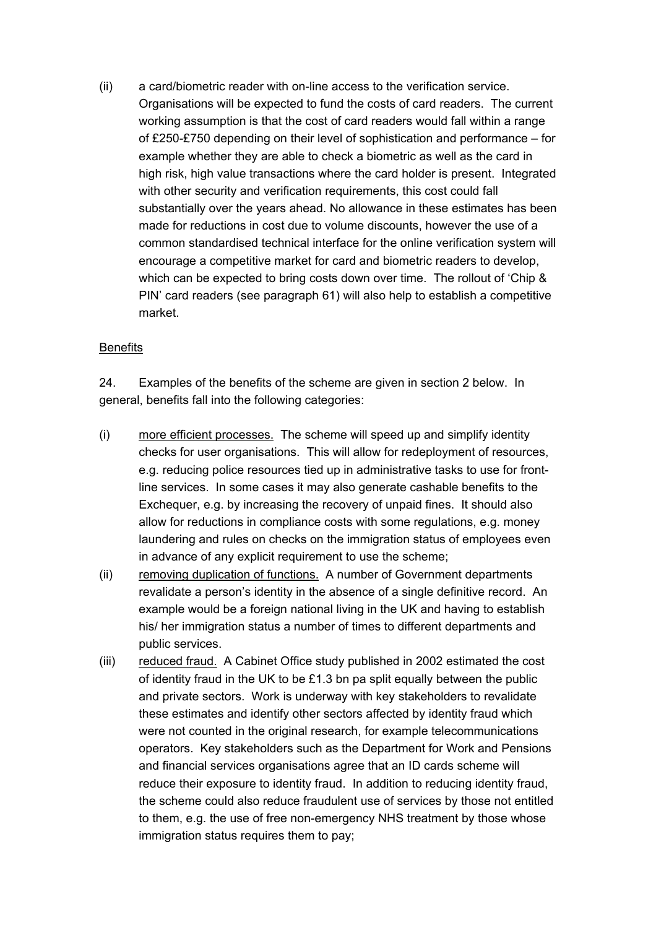(ii) a card/biometric reader with on-line access to the verification service. Organisations will be expected to fund the costs of card readers. The current working assumption is that the cost of card readers would fall within a range of £250-£750 depending on their level of sophistication and performance – for example whether they are able to check a biometric as well as the card in high risk, high value transactions where the card holder is present. Integrated with other security and verification requirements, this cost could fall substantially over the years ahead. No allowance in these estimates has been made for reductions in cost due to volume discounts, however the use of a common standardised technical interface for the online verification system will encourage a competitive market for card and biometric readers to develop, which can be expected to bring costs down over time. The rollout of 'Chip & PIN' card readers (see paragraph 61) will also help to establish a competitive market.

#### **Benefits**

24. Examples of the benefits of the scheme are given in section 2 below. In general, benefits fall into the following categories:

- (i) more efficient processes. The scheme will speed up and simplify identity checks for user organisations. This will allow for redeployment of resources, e.g. reducing police resources tied up in administrative tasks to use for frontline services. In some cases it may also generate cashable benefits to the Exchequer, e.g. by increasing the recovery of unpaid fines. It should also allow for reductions in compliance costs with some regulations, e.g. money laundering and rules on checks on the immigration status of employees even in advance of any explicit requirement to use the scheme;
- (ii) removing duplication of functions. A number of Government departments revalidate a person's identity in the absence of a single definitive record. An example would be a foreign national living in the UK and having to establish his/ her immigration status a number of times to different departments and public services.
- (iii) reduced fraud. A Cabinet Office study published in 2002 estimated the cost of identity fraud in the UK to be £1.3 bn pa split equally between the public and private sectors. Work is underway with key stakeholders to revalidate these estimates and identify other sectors affected by identity fraud which were not counted in the original research, for example telecommunications operators. Key stakeholders such as the Department for Work and Pensions and financial services organisations agree that an ID cards scheme will reduce their exposure to identity fraud. In addition to reducing identity fraud, the scheme could also reduce fraudulent use of services by those not entitled to them, e.g. the use of free non-emergency NHS treatment by those whose immigration status requires them to pay;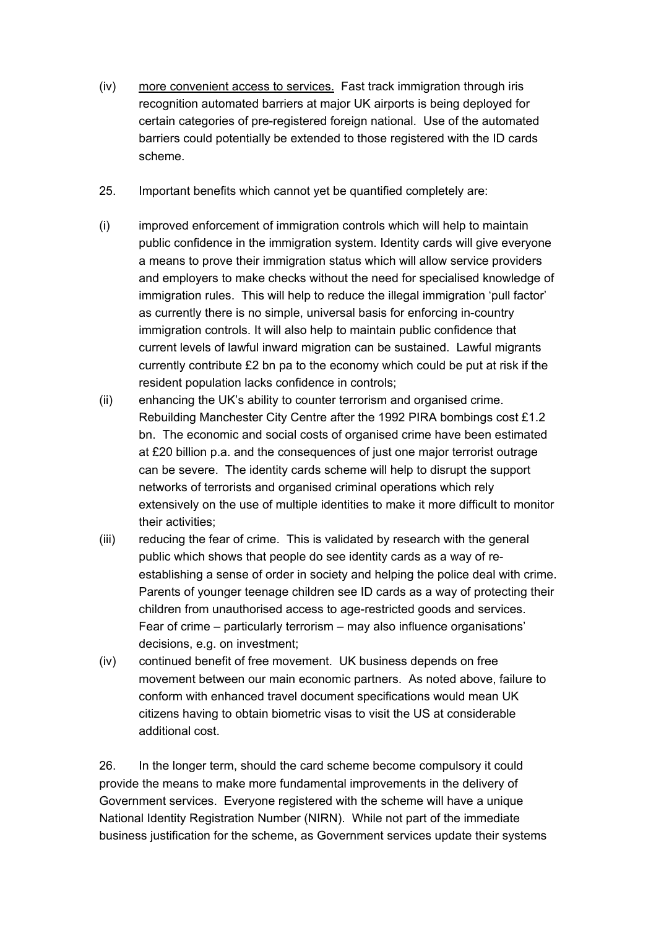- (iv) more convenient access to services. Fast track immigration through iris recognition automated barriers at major UK airports is being deployed for certain categories of pre-registered foreign national. Use of the automated barriers could potentially be extended to those registered with the ID cards scheme.
- 25. Important benefits which cannot yet be quantified completely are:
- (i) improved enforcement of immigration controls which will help to maintain public confidence in the immigration system. Identity cards will give everyone a means to prove their immigration status which will allow service providers and employers to make checks without the need for specialised knowledge of immigration rules. This will help to reduce the illegal immigration 'pull factor' as currently there is no simple, universal basis for enforcing in-country immigration controls. It will also help to maintain public confidence that current levels of lawful inward migration can be sustained. Lawful migrants currently contribute £2 bn pa to the economy which could be put at risk if the resident population lacks confidence in controls;
- (ii) enhancing the UK's ability to counter terrorism and organised crime. Rebuilding Manchester City Centre after the 1992 PIRA bombings cost £1.2 bn. The economic and social costs of organised crime have been estimated at £20 billion p.a. and the consequences of just one major terrorist outrage can be severe. The identity cards scheme will help to disrupt the support networks of terrorists and organised criminal operations which rely extensively on the use of multiple identities to make it more difficult to monitor their activities;
- (iii) reducing the fear of crime. This is validated by research with the general public which shows that people do see identity cards as a way of reestablishing a sense of order in society and helping the police deal with crime. Parents of younger teenage children see ID cards as a way of protecting their children from unauthorised access to age-restricted goods and services. Fear of crime – particularly terrorism – may also influence organisations' decisions, e.g. on investment;
- (iv) continued benefit of free movement. UK business depends on free movement between our main economic partners. As noted above, failure to conform with enhanced travel document specifications would mean UK citizens having to obtain biometric visas to visit the US at considerable additional cost.

26. In the longer term, should the card scheme become compulsory it could provide the means to make more fundamental improvements in the delivery of Government services. Everyone registered with the scheme will have a unique National Identity Registration Number (NIRN). While not part of the immediate business justification for the scheme, as Government services update their systems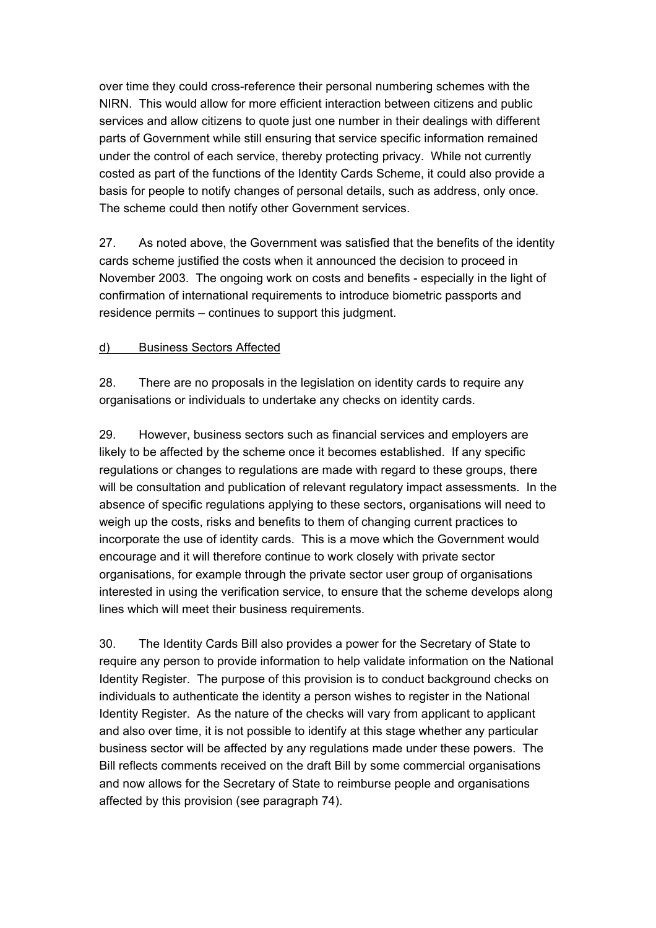over time they could cross-reference their personal numbering schemes with the NIRN. This would allow for more efficient interaction between citizens and public services and allow citizens to quote just one number in their dealings with different parts of Government while still ensuring that service specific information remained under the control of each service, thereby protecting privacy. While not currently costed as part of the functions of the Identity Cards Scheme, it could also provide a basis for people to notify changes of personal details, such as address, only once. The scheme could then notify other Government services.

27. As noted above, the Government was satisfied that the benefits of the identity cards scheme justified the costs when it announced the decision to proceed in November 2003. The ongoing work on costs and benefits - especially in the light of confirmation of international requirements to introduce biometric passports and residence permits – continues to support this judgment.

#### d) Business Sectors Affected

28. There are no proposals in the legislation on identity cards to require any organisations or individuals to undertake any checks on identity cards.

29. However, business sectors such as financial services and employers are likely to be affected by the scheme once it becomes established. If any specific regulations or changes to regulations are made with regard to these groups, there will be consultation and publication of relevant regulatory impact assessments. In the absence of specific regulations applying to these sectors, organisations will need to weigh up the costs, risks and benefits to them of changing current practices to incorporate the use of identity cards. This is a move which the Government would encourage and it will therefore continue to work closely with private sector organisations, for example through the private sector user group of organisations interested in using the verification service, to ensure that the scheme develops along lines which will meet their business requirements.

30. The Identity Cards Bill also provides a power for the Secretary of State to require any person to provide information to help validate information on the National Identity Register. The purpose of this provision is to conduct background checks on individuals to authenticate the identity a person wishes to register in the National Identity Register. As the nature of the checks will vary from applicant to applicant and also over time, it is not possible to identify at this stage whether any particular business sector will be affected by any regulations made under these powers. The Bill reflects comments received on the draft Bill by some commercial organisations and now allows for the Secretary of State to reimburse people and organisations affected by this provision (see paragraph 74).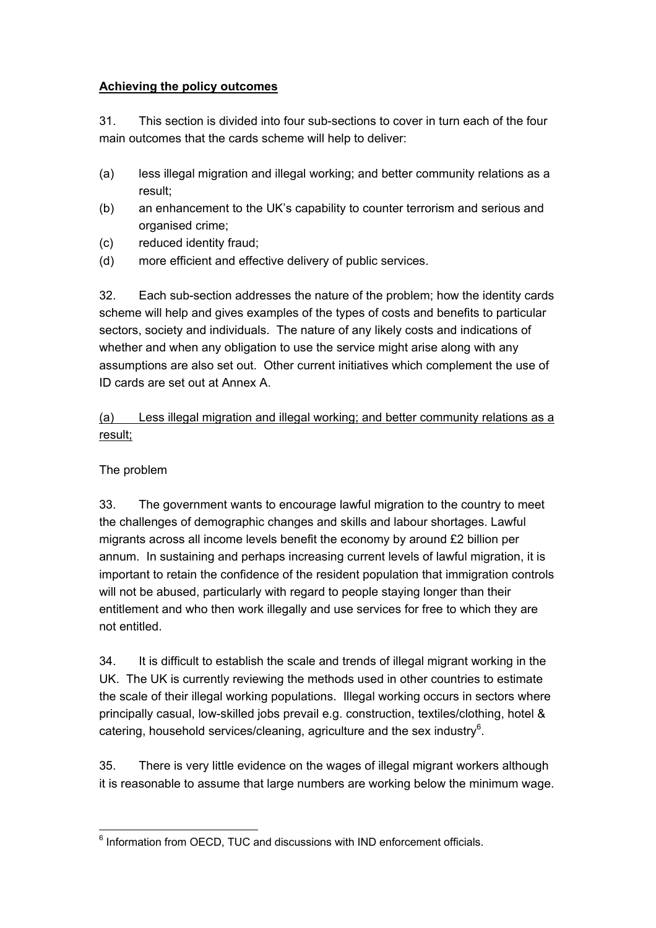#### **Achieving the policy outcomes**

31. This section is divided into four sub-sections to cover in turn each of the four main outcomes that the cards scheme will help to deliver:

- (a) less illegal migration and illegal working; and better community relations as a result;
- (b) an enhancement to the UK's capability to counter terrorism and serious and organised crime;
- (c) reduced identity fraud;
- (d) more efficient and effective delivery of public services.

32. Each sub-section addresses the nature of the problem; how the identity cards scheme will help and gives examples of the types of costs and benefits to particular sectors, society and individuals. The nature of any likely costs and indications of whether and when any obligation to use the service might arise along with any assumptions are also set out. Other current initiatives which complement the use of ID cards are set out at Annex A.

# (a) Less illegal migration and illegal working; and better community relations as a result;

# The problem

33. The government wants to encourage lawful migration to the country to meet the challenges of demographic changes and skills and labour shortages. Lawful migrants across all income levels benefit the economy by around £2 billion per annum. In sustaining and perhaps increasing current levels of lawful migration, it is important to retain the confidence of the resident population that immigration controls will not be abused, particularly with regard to people staying longer than their entitlement and who then work illegally and use services for free to which they are not entitled.

34. It is difficult to establish the scale and trends of illegal migrant working in the UK. The UK is currently reviewing the methods used in other countries to estimate the scale of their illegal working populations. Illegal working occurs in sectors where principally casual, low-skilled jobs prevail e.g. construction, textiles/clothing, hotel & catering, household services/cleaning, agriculture and the sex industry<sup>[6](#page-9-0)</sup>.

35. There is very little evidence on the wages of illegal migrant workers although it is reasonable to assume that large numbers are working below the minimum wage.

<span id="page-9-0"></span> 6 Information from OECD, TUC and discussions with IND enforcement officials.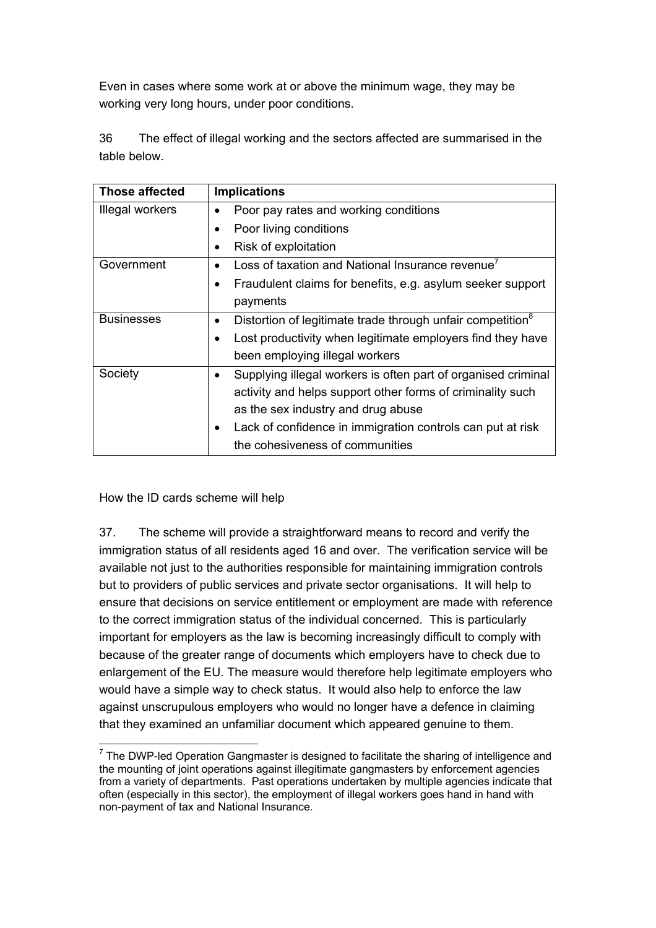Even in cases where some work at or above the minimum wage, they may be working very long hours, under poor conditions.

36 The effect of illegal working and the sectors affected are summarised in the table below.

| <b>Those affected</b> | <b>Implications</b>                                                     |  |
|-----------------------|-------------------------------------------------------------------------|--|
| Illegal workers       | Poor pay rates and working conditions                                   |  |
|                       | Poor living conditions                                                  |  |
|                       | Risk of exploitation                                                    |  |
| Government            | Loss of taxation and National Insurance revenue <sup>7</sup>            |  |
|                       | Fraudulent claims for benefits, e.g. asylum seeker support<br>$\bullet$ |  |
|                       | payments                                                                |  |
| <b>Businesses</b>     | Distortion of legitimate trade through unfair competition <sup>8</sup>  |  |
|                       | Lost productivity when legitimate employers find they have              |  |
|                       | been employing illegal workers                                          |  |
| Society               | Supplying illegal workers is often part of organised criminal           |  |
|                       | activity and helps support other forms of criminality such              |  |
|                       | as the sex industry and drug abuse                                      |  |
|                       | Lack of confidence in immigration controls can put at risk              |  |
|                       | the cohesiveness of communities                                         |  |

How the ID cards scheme will help

37. The scheme will provide a straightforward means to record and verify the immigration status of all residents aged 16 and over. The verification service will be available not just to the authorities responsible for maintaining immigration controls but to providers of public services and private sector organisations. It will help to ensure that decisions on service entitlement or employment are made with reference to the correct immigration status of the individual concerned. This is particularly important for employers as the law is becoming increasingly difficult to comply with because of the greater range of documents which employers have to check due to enlargement of the EU. The measure would therefore help legitimate employers who would have a simple way to check status. It would also help to enforce the law against unscrupulous employers who would no longer have a defence in claiming that they examined an unfamiliar document which appeared genuine to them.

<span id="page-10-1"></span><span id="page-10-0"></span> $\overline{a}$  $<sup>7</sup>$  The DWP-led Operation Gangmaster is designed to facilitate the sharing of intelligence and</sup> the mounting of joint operations against illegitimate gangmasters by enforcement agencies from a variety of departments. Past operations undertaken by multiple agencies indicate that often (especially in this sector), the employment of illegal workers goes hand in hand with non-payment of tax and National Insurance.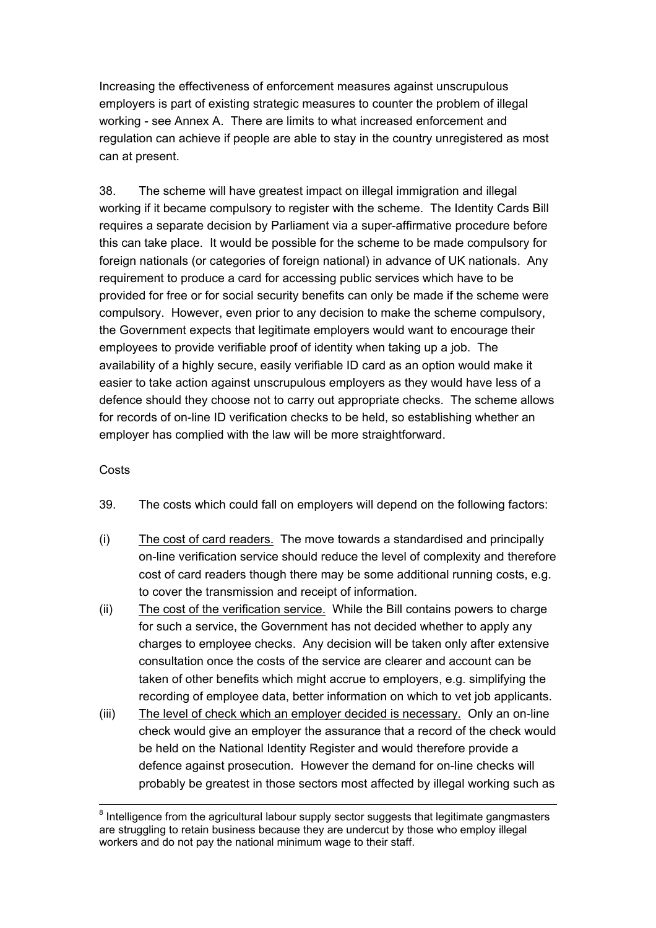Increasing the effectiveness of enforcement measures against unscrupulous employers is part of existing strategic measures to counter the problem of illegal working - see Annex A. There are limits to what increased enforcement and regulation can achieve if people are able to stay in the country unregistered as most can at present.

38. The scheme will have greatest impact on illegal immigration and illegal working if it became compulsory to register with the scheme. The Identity Cards Bill requires a separate decision by Parliament via a super-affirmative procedure before this can take place. It would be possible for the scheme to be made compulsory for foreign nationals (or categories of foreign national) in advance of UK nationals. Any requirement to produce a card for accessing public services which have to be provided for free or for social security benefits can only be made if the scheme were compulsory. However, even prior to any decision to make the scheme compulsory, the Government expects that legitimate employers would want to encourage their employees to provide verifiable proof of identity when taking up a job. The availability of a highly secure, easily verifiable ID card as an option would make it easier to take action against unscrupulous employers as they would have less of a defence should they choose not to carry out appropriate checks. The scheme allows for records of on-line ID verification checks to be held, so establishing whether an employer has complied with the law will be more straightforward.

#### **Costs**

- 39. The costs which could fall on employers will depend on the following factors:
- (i) The cost of card readers. The move towards a standardised and principally on-line verification service should reduce the level of complexity and therefore cost of card readers though there may be some additional running costs, e.g. to cover the transmission and receipt of information.
- (ii) The cost of the verification service. While the Bill contains powers to charge for such a service, the Government has not decided whether to apply any charges to employee checks. Any decision will be taken only after extensive consultation once the costs of the service are clearer and account can be taken of other benefits which might accrue to employers, e.g. simplifying the recording of employee data, better information on which to vet job applicants.
- (iii) The level of check which an employer decided is necessary. Only an on-line check would give an employer the assurance that a record of the check would be held on the National Identity Register and would therefore provide a defence against prosecution. However the demand for on-line checks will probably be greatest in those sectors most affected by illegal working such as

and a media<br>
<sup>8</sup> Intelligence from the agricultural labour supply sector suggests that legitimate gangmasters are struggling to retain business because they are undercut by those who employ illegal workers and do not pay the national minimum wage to their staff.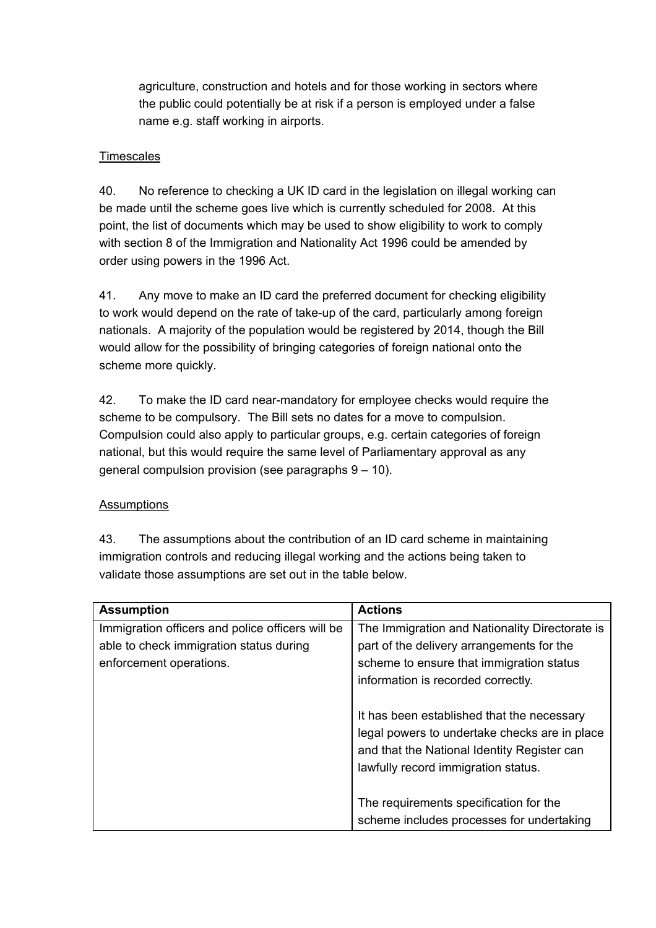agriculture, construction and hotels and for those working in sectors where the public could potentially be at risk if a person is employed under a false name e.g. staff working in airports.

#### **Timescales**

40. No reference to checking a UK ID card in the legislation on illegal working can be made until the scheme goes live which is currently scheduled for 2008. At this point, the list of documents which may be used to show eligibility to work to comply with section 8 of the Immigration and Nationality Act 1996 could be amended by order using powers in the 1996 Act.

41. Any move to make an ID card the preferred document for checking eligibility to work would depend on the rate of take-up of the card, particularly among foreign nationals. A majority of the population would be registered by 2014, though the Bill would allow for the possibility of bringing categories of foreign national onto the scheme more quickly.

42. To make the ID card near-mandatory for employee checks would require the scheme to be compulsory. The Bill sets no dates for a move to compulsion. Compulsion could also apply to particular groups, e.g. certain categories of foreign national, but this would require the same level of Parliamentary approval as any general compulsion provision (see paragraphs 9 – 10).

## **Assumptions**

43. The assumptions about the contribution of an ID card scheme in maintaining immigration controls and reducing illegal working and the actions being taken to validate those assumptions are set out in the table below.

| <b>Assumption</b>                                | <b>Actions</b>                                 |
|--------------------------------------------------|------------------------------------------------|
| Immigration officers and police officers will be | The Immigration and Nationality Directorate is |
| able to check immigration status during          | part of the delivery arrangements for the      |
| enforcement operations.                          | scheme to ensure that immigration status       |
|                                                  | information is recorded correctly.             |
|                                                  |                                                |
|                                                  | It has been established that the necessary     |
|                                                  | legal powers to undertake checks are in place  |
|                                                  | and that the National Identity Register can    |
|                                                  | lawfully record immigration status.            |
|                                                  |                                                |
|                                                  | The requirements specification for the         |
|                                                  | scheme includes processes for undertaking      |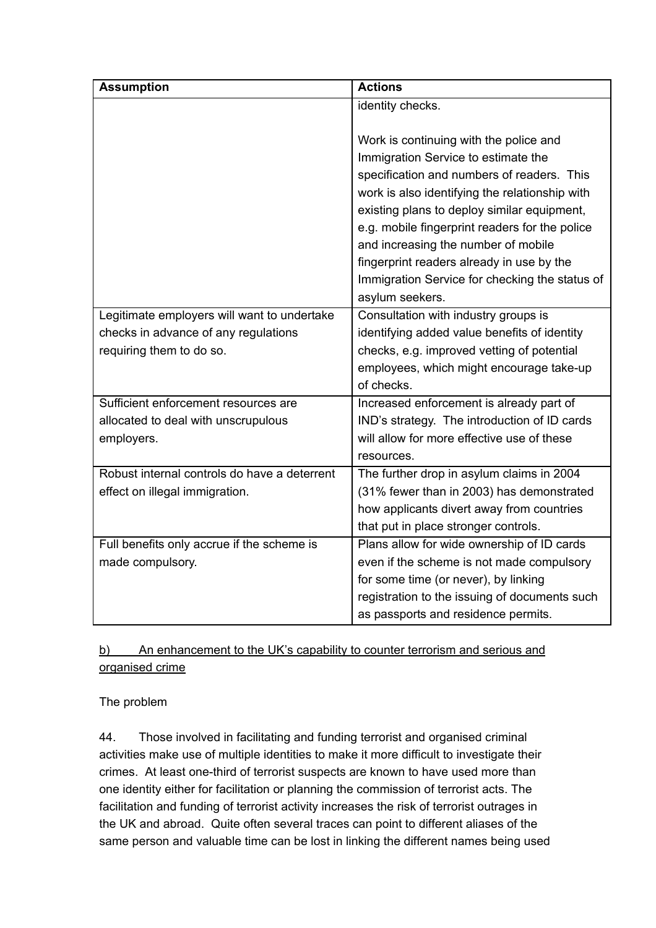| <b>Assumption</b>                            | <b>Actions</b>                                 |
|----------------------------------------------|------------------------------------------------|
|                                              | identity checks.                               |
|                                              |                                                |
|                                              | Work is continuing with the police and         |
|                                              | Immigration Service to estimate the            |
|                                              | specification and numbers of readers. This     |
|                                              | work is also identifying the relationship with |
|                                              | existing plans to deploy similar equipment,    |
|                                              | e.g. mobile fingerprint readers for the police |
|                                              | and increasing the number of mobile            |
|                                              | fingerprint readers already in use by the      |
|                                              | Immigration Service for checking the status of |
|                                              | asylum seekers.                                |
| Legitimate employers will want to undertake  | Consultation with industry groups is           |
| checks in advance of any regulations         | identifying added value benefits of identity   |
| requiring them to do so.                     | checks, e.g. improved vetting of potential     |
|                                              | employees, which might encourage take-up       |
|                                              | of checks.                                     |
| Sufficient enforcement resources are         | Increased enforcement is already part of       |
| allocated to deal with unscrupulous          | IND's strategy. The introduction of ID cards   |
| employers.                                   | will allow for more effective use of these     |
|                                              | resources.                                     |
| Robust internal controls do have a deterrent | The further drop in asylum claims in 2004      |
| effect on illegal immigration.               | (31% fewer than in 2003) has demonstrated      |
|                                              | how applicants divert away from countries      |
|                                              | that put in place stronger controls.           |
| Full benefits only accrue if the scheme is   | Plans allow for wide ownership of ID cards     |
| made compulsory.                             | even if the scheme is not made compulsory      |
|                                              | for some time (or never), by linking           |
|                                              | registration to the issuing of documents such  |
|                                              | as passports and residence permits.            |

# b) An enhancement to the UK's capability to counter terrorism and serious and organised crime

## The problem

44. Those involved in facilitating and funding terrorist and organised criminal activities make use of multiple identities to make it more difficult to investigate their crimes. At least one-third of terrorist suspects are known to have used more than one identity either for facilitation or planning the commission of terrorist acts. The facilitation and funding of terrorist activity increases the risk of terrorist outrages in the UK and abroad. Quite often several traces can point to different aliases of the same person and valuable time can be lost in linking the different names being used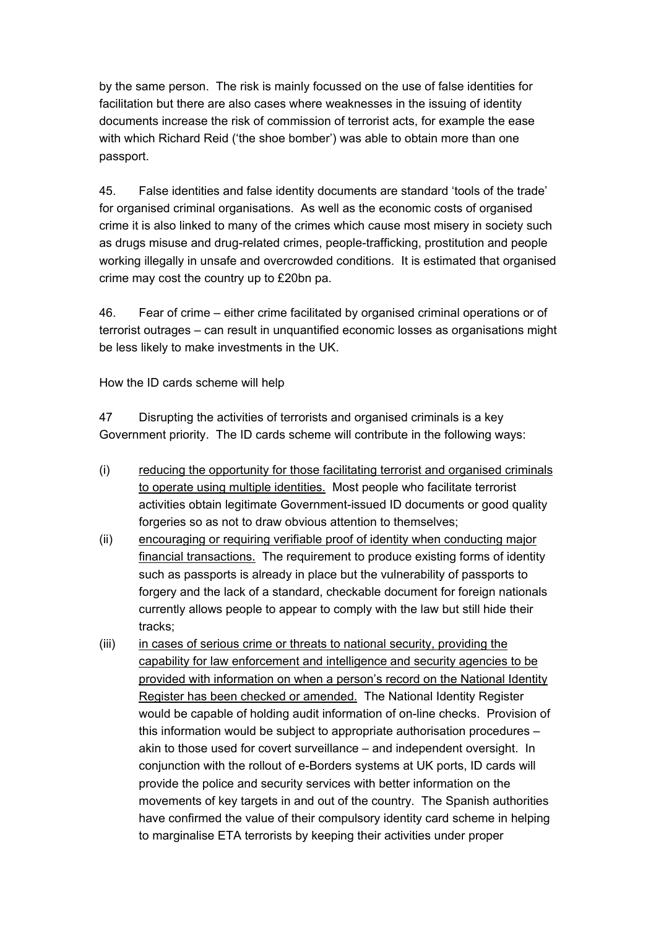by the same person. The risk is mainly focussed on the use of false identities for facilitation but there are also cases where weaknesses in the issuing of identity documents increase the risk of commission of terrorist acts, for example the ease with which Richard Reid ('the shoe bomber') was able to obtain more than one passport.

45. False identities and false identity documents are standard 'tools of the trade' for organised criminal organisations. As well as the economic costs of organised crime it is also linked to many of the crimes which cause most misery in society such as drugs misuse and drug-related crimes, people-trafficking, prostitution and people working illegally in unsafe and overcrowded conditions. It is estimated that organised crime may cost the country up to £20bn pa.

46. Fear of crime – either crime facilitated by organised criminal operations or of terrorist outrages – can result in unquantified economic losses as organisations might be less likely to make investments in the UK.

How the ID cards scheme will help

47 Disrupting the activities of terrorists and organised criminals is a key Government priority. The ID cards scheme will contribute in the following ways:

- (i) reducing the opportunity for those facilitating terrorist and organised criminals to operate using multiple identities. Most people who facilitate terrorist activities obtain legitimate Government-issued ID documents or good quality forgeries so as not to draw obvious attention to themselves;
- (ii) encouraging or requiring verifiable proof of identity when conducting major financial transactions. The requirement to produce existing forms of identity such as passports is already in place but the vulnerability of passports to forgery and the lack of a standard, checkable document for foreign nationals currently allows people to appear to comply with the law but still hide their tracks;
- (iii) in cases of serious crime or threats to national security, providing the capability for law enforcement and intelligence and security agencies to be provided with information on when a person's record on the National Identity Register has been checked or amended. The National Identity Register would be capable of holding audit information of on-line checks. Provision of this information would be subject to appropriate authorisation procedures – akin to those used for covert surveillance – and independent oversight. In conjunction with the rollout of e-Borders systems at UK ports, ID cards will provide the police and security services with better information on the movements of key targets in and out of the country. The Spanish authorities have confirmed the value of their compulsory identity card scheme in helping to marginalise ETA terrorists by keeping their activities under proper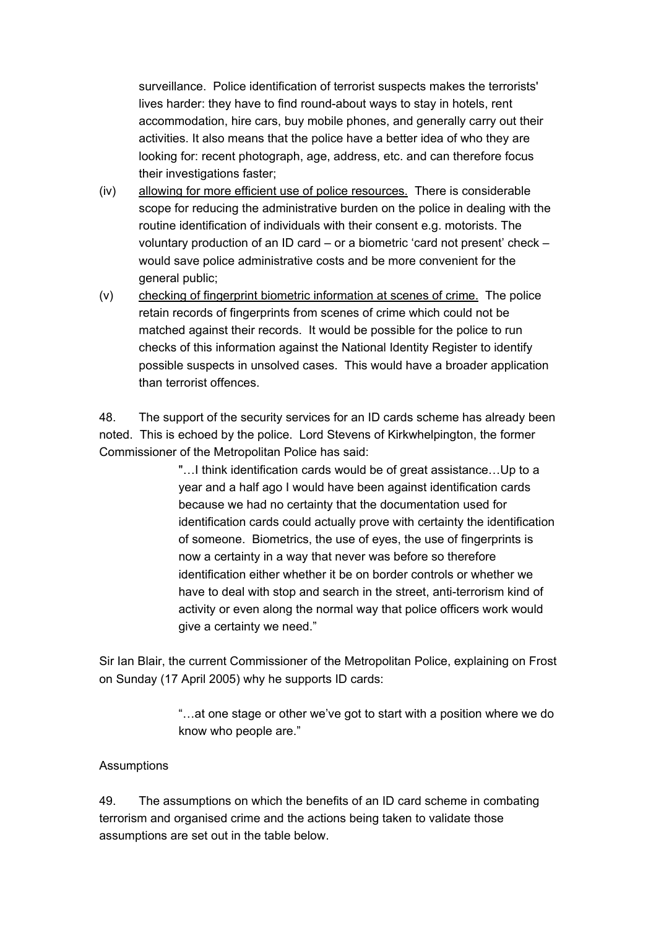surveillance. Police identification of terrorist suspects makes the terrorists' lives harder: they have to find round-about ways to stay in hotels, rent accommodation, hire cars, buy mobile phones, and generally carry out their activities. It also means that the police have a better idea of who they are looking for: recent photograph, age, address, etc. and can therefore focus their investigations faster;

- (iv) allowing for more efficient use of police resources. There is considerable scope for reducing the administrative burden on the police in dealing with the routine identification of individuals with their consent e.g. motorists. The voluntary production of an ID card – or a biometric 'card not present' check – would save police administrative costs and be more convenient for the general public;
- (v) checking of fingerprint biometric information at scenes of crime. The police retain records of fingerprints from scenes of crime which could not be matched against their records. It would be possible for the police to run checks of this information against the National Identity Register to identify possible suspects in unsolved cases. This would have a broader application than terrorist offences.

48. The support of the security services for an ID cards scheme has already been noted. This is echoed by the police. Lord Stevens of Kirkwhelpington, the former Commissioner of the Metropolitan Police has said:

> "…I think identification cards would be of great assistance…Up to a year and a half ago I would have been against identification cards because we had no certainty that the documentation used for identification cards could actually prove with certainty the identification of someone. Biometrics, the use of eyes, the use of fingerprints is now a certainty in a way that never was before so therefore identification either whether it be on border controls or whether we have to deal with stop and search in the street, anti-terrorism kind of activity or even along the normal way that police officers work would give a certainty we need."

Sir Ian Blair, the current Commissioner of the Metropolitan Police, explaining on Frost on Sunday (17 April 2005) why he supports ID cards:

> "…at one stage or other we've got to start with a position where we do know who people are."

#### **Assumptions**

49. The assumptions on which the benefits of an ID card scheme in combating terrorism and organised crime and the actions being taken to validate those assumptions are set out in the table below.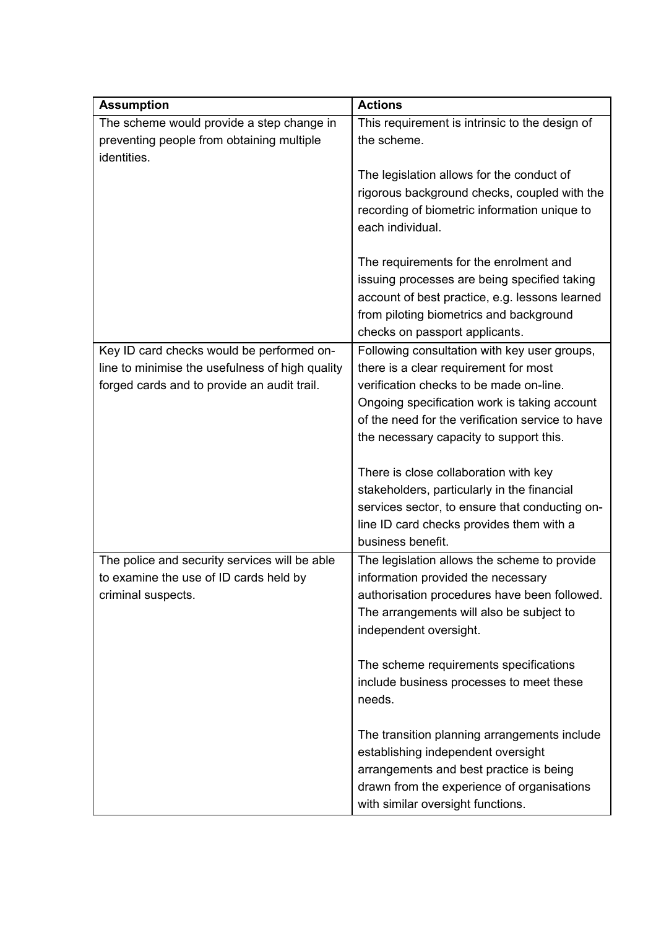| <b>Assumption</b>                                                                            | <b>Actions</b>                                                                        |
|----------------------------------------------------------------------------------------------|---------------------------------------------------------------------------------------|
| The scheme would provide a step change in                                                    | This requirement is intrinsic to the design of                                        |
| preventing people from obtaining multiple<br>identities.                                     | the scheme.                                                                           |
|                                                                                              | The legislation allows for the conduct of                                             |
|                                                                                              | rigorous background checks, coupled with the                                          |
|                                                                                              | recording of biometric information unique to                                          |
|                                                                                              | each individual.                                                                      |
|                                                                                              | The requirements for the enrolment and                                                |
|                                                                                              | issuing processes are being specified taking                                          |
|                                                                                              | account of best practice, e.g. lessons learned                                        |
|                                                                                              | from piloting biometrics and background                                               |
|                                                                                              | checks on passport applicants.                                                        |
| Key ID card checks would be performed on-<br>line to minimise the usefulness of high quality | Following consultation with key user groups,<br>there is a clear requirement for most |
| forged cards and to provide an audit trail.                                                  | verification checks to be made on-line.                                               |
|                                                                                              | Ongoing specification work is taking account                                          |
|                                                                                              | of the need for the verification service to have                                      |
|                                                                                              | the necessary capacity to support this.                                               |
|                                                                                              |                                                                                       |
|                                                                                              | There is close collaboration with key                                                 |
|                                                                                              | stakeholders, particularly in the financial                                           |
|                                                                                              | services sector, to ensure that conducting on-                                        |
|                                                                                              | line ID card checks provides them with a                                              |
|                                                                                              | business benefit.                                                                     |
| The police and security services will be able<br>to examine the use of ID cards held by      | The legislation allows the scheme to provide<br>information provided the necessary    |
| criminal suspects.                                                                           | authorisation procedures have been followed.                                          |
|                                                                                              | The arrangements will also be subject to                                              |
|                                                                                              | independent oversight.                                                                |
|                                                                                              | The scheme requirements specifications                                                |
|                                                                                              | include business processes to meet these                                              |
|                                                                                              | needs.                                                                                |
|                                                                                              | The transition planning arrangements include                                          |
|                                                                                              | establishing independent oversight                                                    |
|                                                                                              | arrangements and best practice is being                                               |
|                                                                                              | drawn from the experience of organisations                                            |
|                                                                                              | with similar oversight functions.                                                     |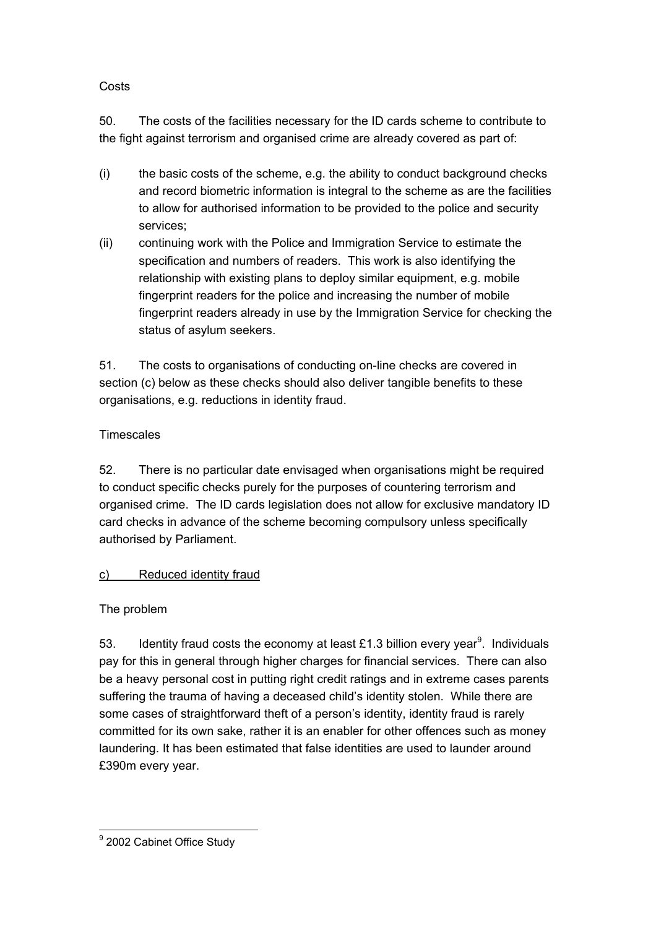#### Costs

50. The costs of the facilities necessary for the ID cards scheme to contribute to the fight against terrorism and organised crime are already covered as part of:

- (i) the basic costs of the scheme, e.g. the ability to conduct background checks and record biometric information is integral to the scheme as are the facilities to allow for authorised information to be provided to the police and security services;
- (ii) continuing work with the Police and Immigration Service to estimate the specification and numbers of readers. This work is also identifying the relationship with existing plans to deploy similar equipment, e.g. mobile fingerprint readers for the police and increasing the number of mobile fingerprint readers already in use by the Immigration Service for checking the status of asylum seekers.

51. The costs to organisations of conducting on-line checks are covered in section (c) below as these checks should also deliver tangible benefits to these organisations, e.g. reductions in identity fraud.

#### **Timescales**

52. There is no particular date envisaged when organisations might be required to conduct specific checks purely for the purposes of countering terrorism and organised crime. The ID cards legislation does not allow for exclusive mandatory ID card checks in advance of the scheme becoming compulsory unless specifically authorised by Parliament.

## c) Reduced identity fraud

## The problem

53. Identity fraud costs the economy at least £1.3 billion every year<sup>[9](#page-17-0)</sup>. Individuals pay for this in general through higher charges for financial services. There can also be a heavy personal cost in putting right credit ratings and in extreme cases parents suffering the trauma of having a deceased child's identity stolen. While there are some cases of straightforward theft of a person's identity, identity fraud is rarely committed for its own sake, rather it is an enabler for other offences such as money laundering. It has been estimated that false identities are used to launder around £390m every year.

<span id="page-17-0"></span>ersended<br>
<u>9</u><br>
2002 Cabinet Office Study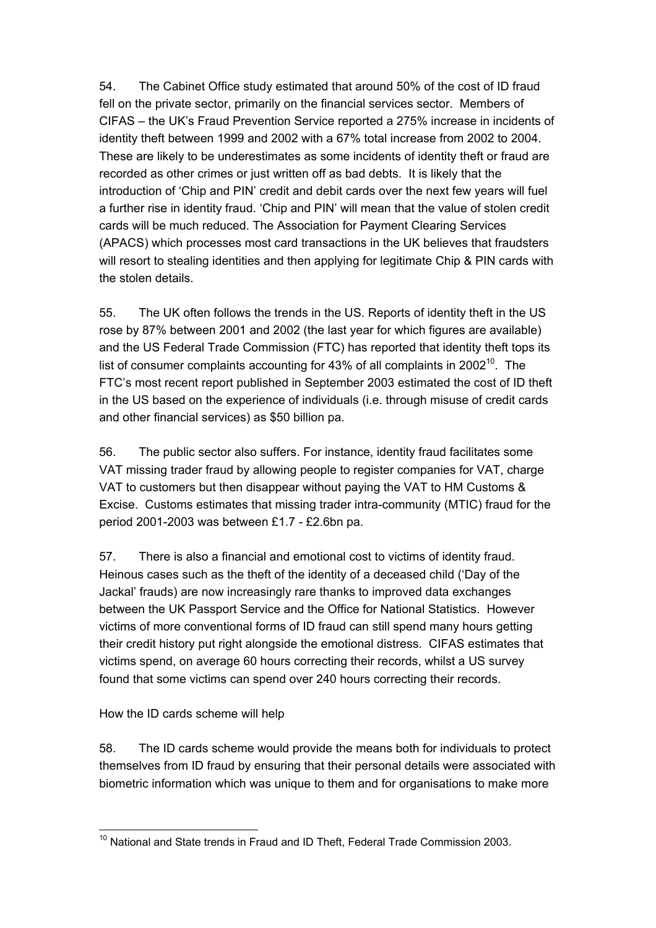54. The Cabinet Office study estimated that around 50% of the cost of ID fraud fell on the private sector, primarily on the financial services sector. Members of CIFAS – the UK's Fraud Prevention Service reported a 275% increase in incidents of identity theft between 1999 and 2002 with a 67% total increase from 2002 to 2004. These are likely to be underestimates as some incidents of identity theft or fraud are recorded as other crimes or just written off as bad debts. It is likely that the introduction of 'Chip and PIN' credit and debit cards over the next few years will fuel a further rise in identity fraud. 'Chip and PIN' will mean that the value of stolen credit cards will be much reduced. The Association for Payment Clearing Services (APACS) which processes most card transactions in the UK believes that fraudsters will resort to stealing identities and then applying for legitimate Chip & PIN cards with the stolen details.

55. The UK often follows the trends in the US. Reports of identity theft in the US rose by 87% between 2001 and 2002 (the last year for which figures are available) and the US Federal Trade Commission (FTC) has reported that identity theft tops its list of consumer complaints accounting for 43% of all complaints in 2002<sup>10</sup>. The FTC's most recent report published in September 2003 estimated the cost of ID theft in the US based on the experience of individuals (i.e. through misuse of credit cards and other financial services) as \$50 billion pa.

56. The public sector also suffers. For instance, identity fraud facilitates some VAT missing trader fraud by allowing people to register companies for VAT, charge VAT to customers but then disappear without paying the VAT to HM Customs & Excise. Customs estimates that missing trader intra-community (MTIC) fraud for the period 2001-2003 was between £1.7 - £2.6bn pa.

57. There is also a financial and emotional cost to victims of identity fraud. Heinous cases such as the theft of the identity of a deceased child ('Day of the Jackal' frauds) are now increasingly rare thanks to improved data exchanges between the UK Passport Service and the Office for National Statistics. However victims of more conventional forms of ID fraud can still spend many hours getting their credit history put right alongside the emotional distress. CIFAS estimates that victims spend, on average 60 hours correcting their records, whilst a US survey found that some victims can spend over 240 hours correcting their records.

How the ID cards scheme will help

58. The ID cards scheme would provide the means both for individuals to protect themselves from ID fraud by ensuring that their personal details were associated with biometric information which was unique to them and for organisations to make more

<span id="page-18-0"></span> $\overline{a}$  $10$  National and State trends in Fraud and ID Theft, Federal Trade Commission 2003.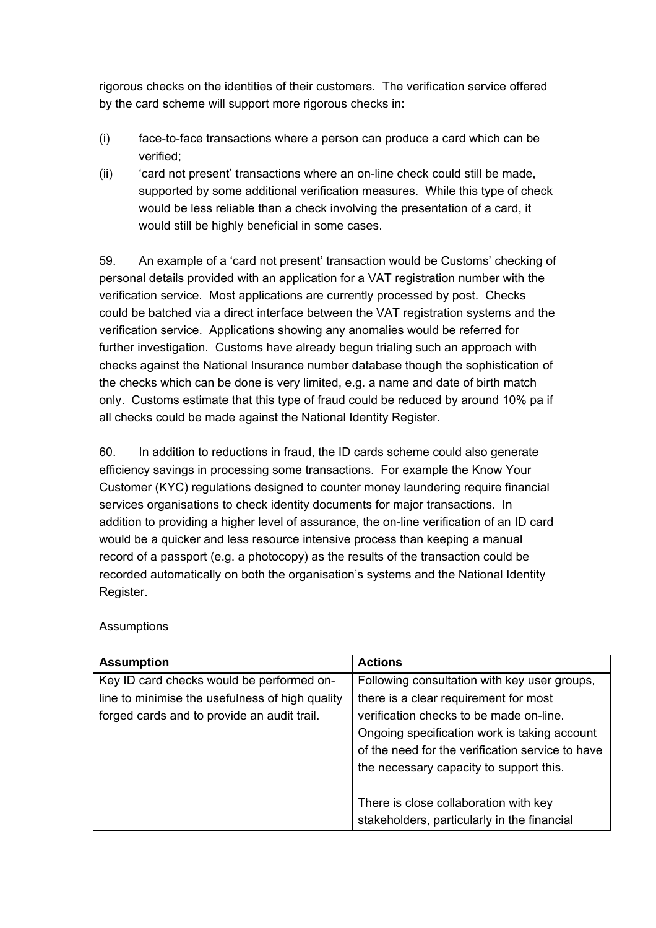rigorous checks on the identities of their customers. The verification service offered by the card scheme will support more rigorous checks in:

- (i) face-to-face transactions where a person can produce a card which can be verified;
- (ii) 'card not present' transactions where an on-line check could still be made, supported by some additional verification measures. While this type of check would be less reliable than a check involving the presentation of a card, it would still be highly beneficial in some cases.

59. An example of a 'card not present' transaction would be Customs' checking of personal details provided with an application for a VAT registration number with the verification service. Most applications are currently processed by post. Checks could be batched via a direct interface between the VAT registration systems and the verification service. Applications showing any anomalies would be referred for further investigation. Customs have already begun trialing such an approach with checks against the National Insurance number database though the sophistication of the checks which can be done is very limited, e.g. a name and date of birth match only. Customs estimate that this type of fraud could be reduced by around 10% pa if all checks could be made against the National Identity Register.

60. In addition to reductions in fraud, the ID cards scheme could also generate efficiency savings in processing some transactions. For example the Know Your Customer (KYC) regulations designed to counter money laundering require financial services organisations to check identity documents for major transactions. In addition to providing a higher level of assurance, the on-line verification of an ID card would be a quicker and less resource intensive process than keeping a manual record of a passport (e.g. a photocopy) as the results of the transaction could be recorded automatically on both the organisation's systems and the National Identity Register.

| <b>Assumption</b>                               | <b>Actions</b>                                   |
|-------------------------------------------------|--------------------------------------------------|
| Key ID card checks would be performed on-       | Following consultation with key user groups,     |
| line to minimise the usefulness of high quality | there is a clear requirement for most            |
| forged cards and to provide an audit trail.     | verification checks to be made on-line.          |
|                                                 | Ongoing specification work is taking account     |
|                                                 | of the need for the verification service to have |
|                                                 | the necessary capacity to support this.          |
|                                                 |                                                  |
|                                                 | There is close collaboration with key            |
|                                                 | stakeholders, particularly in the financial      |

**Assumptions**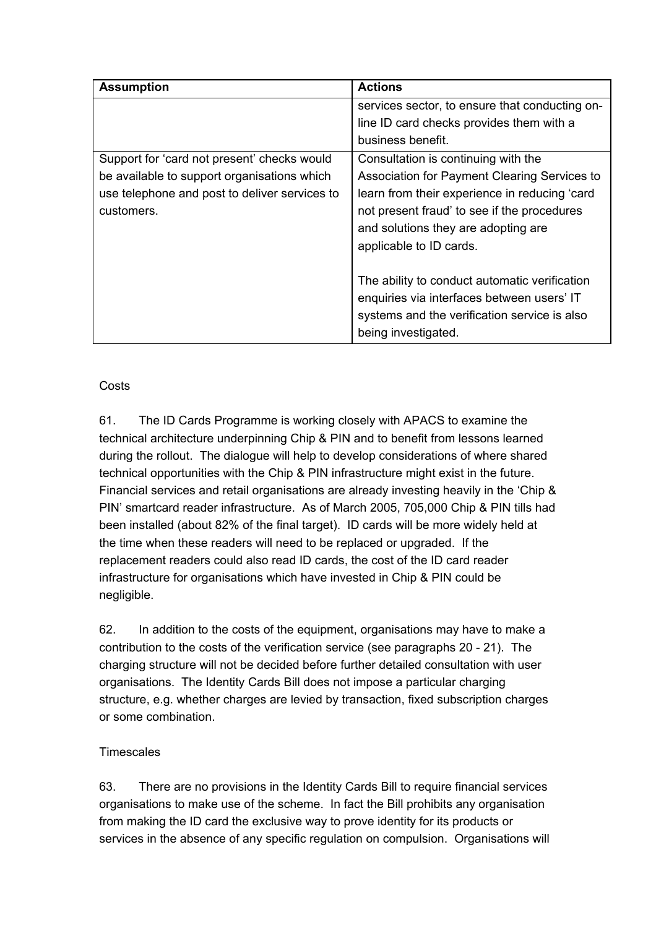| <b>Assumption</b>                             | <b>Actions</b>                                 |
|-----------------------------------------------|------------------------------------------------|
|                                               | services sector, to ensure that conducting on- |
|                                               | line ID card checks provides them with a       |
|                                               | business benefit.                              |
| Support for 'card not present' checks would   | Consultation is continuing with the            |
| be available to support organisations which   | Association for Payment Clearing Services to   |
| use telephone and post to deliver services to | learn from their experience in reducing 'card  |
| customers.                                    | not present fraud' to see if the procedures    |
|                                               | and solutions they are adopting are            |
|                                               | applicable to ID cards.                        |
|                                               |                                                |
|                                               | The ability to conduct automatic verification  |
|                                               | enquiries via interfaces between users' IT     |
|                                               | systems and the verification service is also   |
|                                               | being investigated.                            |

# **Costs**

61. The ID Cards Programme is working closely with APACS to examine the technical architecture underpinning Chip & PIN and to benefit from lessons learned during the rollout. The dialogue will help to develop considerations of where shared technical opportunities with the Chip & PIN infrastructure might exist in the future. Financial services and retail organisations are already investing heavily in the 'Chip & PIN' smartcard reader infrastructure. As of March 2005, 705,000 Chip & PIN tills had been installed (about 82% of the final target). ID cards will be more widely held at the time when these readers will need to be replaced or upgraded. If the replacement readers could also read ID cards, the cost of the ID card reader infrastructure for organisations which have invested in Chip & PIN could be negligible.

62. In addition to the costs of the equipment, organisations may have to make a contribution to the costs of the verification service (see paragraphs 20 - 21). The charging structure will not be decided before further detailed consultation with user organisations. The Identity Cards Bill does not impose a particular charging structure, e.g. whether charges are levied by transaction, fixed subscription charges or some combination.

## **Timescales**

63. There are no provisions in the Identity Cards Bill to require financial services organisations to make use of the scheme. In fact the Bill prohibits any organisation from making the ID card the exclusive way to prove identity for its products or services in the absence of any specific regulation on compulsion. Organisations will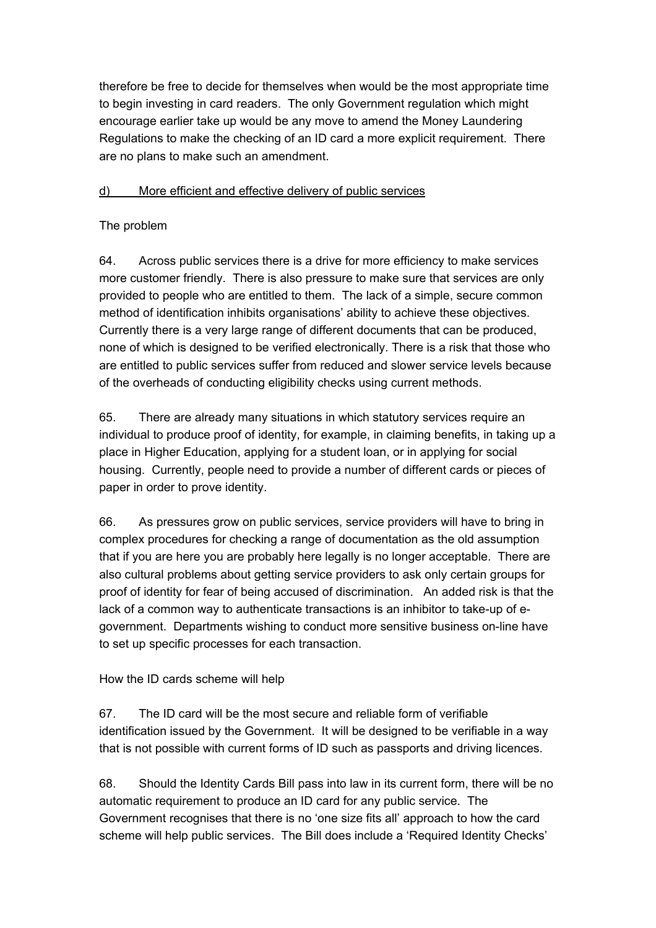therefore be free to decide for themselves when would be the most appropriate time to begin investing in card readers. The only Government regulation which might encourage earlier take up would be any move to amend the Money Laundering Regulations to make the checking of an ID card a more explicit requirement. There are no plans to make such an amendment.

#### d) More efficient and effective delivery of public services

#### The problem

64. Across public services there is a drive for more efficiency to make services more customer friendly. There is also pressure to make sure that services are only provided to people who are entitled to them. The lack of a simple, secure common method of identification inhibits organisations' ability to achieve these objectives. Currently there is a very large range of different documents that can be produced, none of which is designed to be verified electronically. There is a risk that those who are entitled to public services suffer from reduced and slower service levels because of the overheads of conducting eligibility checks using current methods.

65. There are already many situations in which statutory services require an individual to produce proof of identity, for example, in claiming benefits, in taking up a place in Higher Education, applying for a student loan, or in applying for social housing. Currently, people need to provide a number of different cards or pieces of paper in order to prove identity.

66. As pressures grow on public services, service providers will have to bring in complex procedures for checking a range of documentation as the old assumption that if you are here you are probably here legally is no longer acceptable. There are also cultural problems about getting service providers to ask only certain groups for proof of identity for fear of being accused of discrimination. An added risk is that the lack of a common way to authenticate transactions is an inhibitor to take-up of egovernment. Departments wishing to conduct more sensitive business on-line have to set up specific processes for each transaction.

## How the ID cards scheme will help

67. The ID card will be the most secure and reliable form of verifiable identification issued by the Government. It will be designed to be verifiable in a way that is not possible with current forms of ID such as passports and driving licences.

68. Should the Identity Cards Bill pass into law in its current form, there will be no automatic requirement to produce an ID card for any public service. The Government recognises that there is no 'one size fits all' approach to how the card scheme will help public services. The Bill does include a 'Required Identity Checks'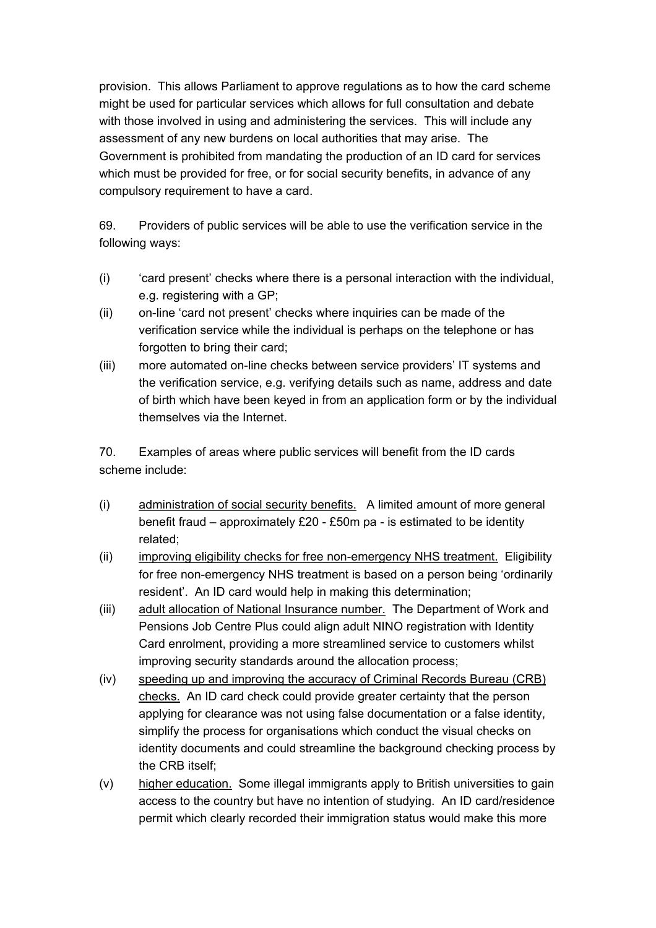provision. This allows Parliament to approve regulations as to how the card scheme might be used for particular services which allows for full consultation and debate with those involved in using and administering the services. This will include any assessment of any new burdens on local authorities that may arise. The Government is prohibited from mandating the production of an ID card for services which must be provided for free, or for social security benefits, in advance of any compulsory requirement to have a card.

69. Providers of public services will be able to use the verification service in the following ways:

- (i) 'card present' checks where there is a personal interaction with the individual, e.g. registering with a GP;
- (ii) on-line 'card not present' checks where inquiries can be made of the verification service while the individual is perhaps on the telephone or has forgotten to bring their card;
- (iii) more automated on-line checks between service providers' IT systems and the verification service, e.g. verifying details such as name, address and date of birth which have been keyed in from an application form or by the individual themselves via the Internet.

70. Examples of areas where public services will benefit from the ID cards scheme include:

- (i) administration of social security benefits. A limited amount of more general benefit fraud – approximately £20 - £50m pa - is estimated to be identity related;
- (ii) improving eligibility checks for free non-emergency NHS treatment. Eligibility for free non-emergency NHS treatment is based on a person being 'ordinarily resident'. An ID card would help in making this determination;
- (iii) adult allocation of National Insurance number. The Department of Work and Pensions Job Centre Plus could align adult NINO registration with Identity Card enrolment, providing a more streamlined service to customers whilst improving security standards around the allocation process;
- (iv) speeding up and improving the accuracy of Criminal Records Bureau (CRB) checks. An ID card check could provide greater certainty that the person applying for clearance was not using false documentation or a false identity, simplify the process for organisations which conduct the visual checks on identity documents and could streamline the background checking process by the CRB itself;
- (v) higher education. Some illegal immigrants apply to British universities to gain access to the country but have no intention of studying. An ID card/residence permit which clearly recorded their immigration status would make this more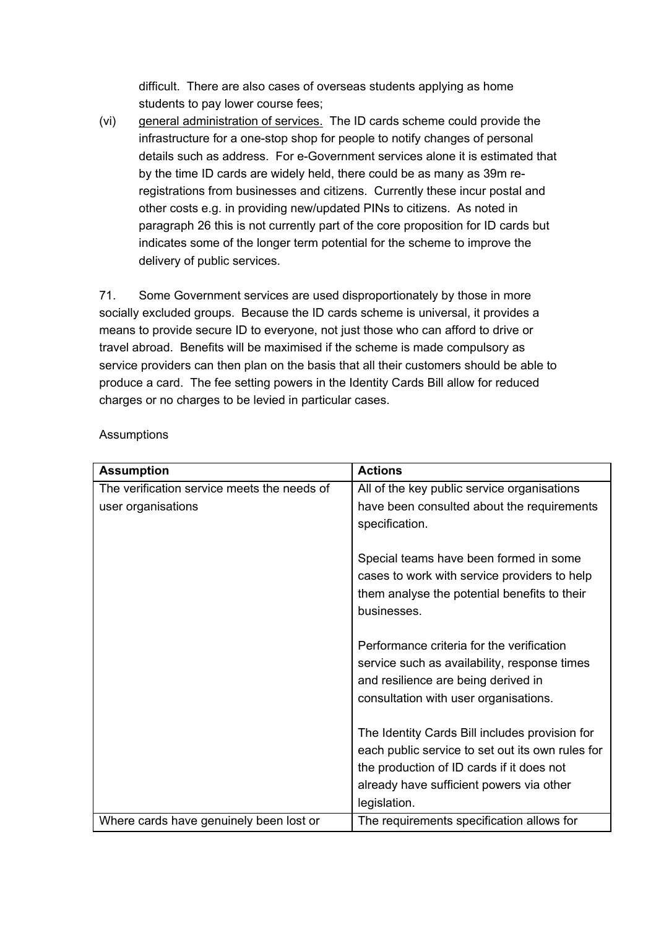difficult. There are also cases of overseas students applying as home students to pay lower course fees;

(vi) general administration of services. The ID cards scheme could provide the infrastructure for a one-stop shop for people to notify changes of personal details such as address. For e-Government services alone it is estimated that by the time ID cards are widely held, there could be as many as 39m reregistrations from businesses and citizens. Currently these incur postal and other costs e.g. in providing new/updated PINs to citizens. As noted in paragraph 26 this is not currently part of the core proposition for ID cards but indicates some of the longer term potential for the scheme to improve the delivery of public services.

71. Some Government services are used disproportionately by those in more socially excluded groups. Because the ID cards scheme is universal, it provides a means to provide secure ID to everyone, not just those who can afford to drive or travel abroad. Benefits will be maximised if the scheme is made compulsory as service providers can then plan on the basis that all their customers should be able to produce a card. The fee setting powers in the Identity Cards Bill allow for reduced charges or no charges to be levied in particular cases.

| <b>Assumption</b>                           | <b>Actions</b>                                                                                                                                                                                              |
|---------------------------------------------|-------------------------------------------------------------------------------------------------------------------------------------------------------------------------------------------------------------|
| The verification service meets the needs of | All of the key public service organisations                                                                                                                                                                 |
| user organisations                          | have been consulted about the requirements<br>specification.                                                                                                                                                |
|                                             | Special teams have been formed in some<br>cases to work with service providers to help<br>them analyse the potential benefits to their<br>businesses.                                                       |
|                                             | Performance criteria for the verification<br>service such as availability, response times<br>and resilience are being derived in<br>consultation with user organisations.                                   |
|                                             | The Identity Cards Bill includes provision for<br>each public service to set out its own rules for<br>the production of ID cards if it does not<br>already have sufficient powers via other<br>legislation. |
| Where cards have genuinely been lost or     | The requirements specification allows for                                                                                                                                                                   |

Assumptions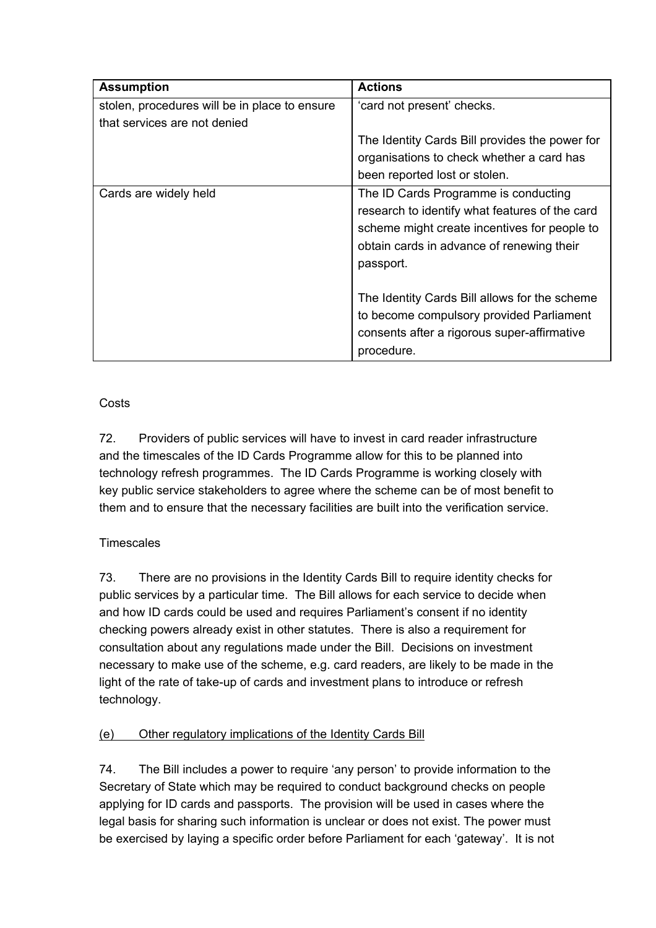| <b>Assumption</b>                             | <b>Actions</b>                                 |
|-----------------------------------------------|------------------------------------------------|
| stolen, procedures will be in place to ensure | 'card not present' checks.                     |
| that services are not denied                  |                                                |
|                                               | The Identity Cards Bill provides the power for |
|                                               | organisations to check whether a card has      |
|                                               | been reported lost or stolen.                  |
| Cards are widely held                         | The ID Cards Programme is conducting           |
|                                               | research to identify what features of the card |
|                                               | scheme might create incentives for people to   |
|                                               | obtain cards in advance of renewing their      |
|                                               | passport.                                      |
|                                               |                                                |
|                                               | The Identity Cards Bill allows for the scheme  |
|                                               | to become compulsory provided Parliament       |
|                                               | consents after a rigorous super-affirmative    |
|                                               | procedure.                                     |

**Costs** 

72. Providers of public services will have to invest in card reader infrastructure and the timescales of the ID Cards Programme allow for this to be planned into technology refresh programmes. The ID Cards Programme is working closely with key public service stakeholders to agree where the scheme can be of most benefit to them and to ensure that the necessary facilities are built into the verification service.

# **Timescales**

73. There are no provisions in the Identity Cards Bill to require identity checks for public services by a particular time. The Bill allows for each service to decide when and how ID cards could be used and requires Parliament's consent if no identity checking powers already exist in other statutes. There is also a requirement for consultation about any regulations made under the Bill. Decisions on investment necessary to make use of the scheme, e.g. card readers, are likely to be made in the light of the rate of take-up of cards and investment plans to introduce or refresh technology.

# (e) Other regulatory implications of the Identity Cards Bill

74. The Bill includes a power to require 'any person' to provide information to the Secretary of State which may be required to conduct background checks on people applying for ID cards and passports. The provision will be used in cases where the legal basis for sharing such information is unclear or does not exist. The power must be exercised by laying a specific order before Parliament for each 'gateway'. It is not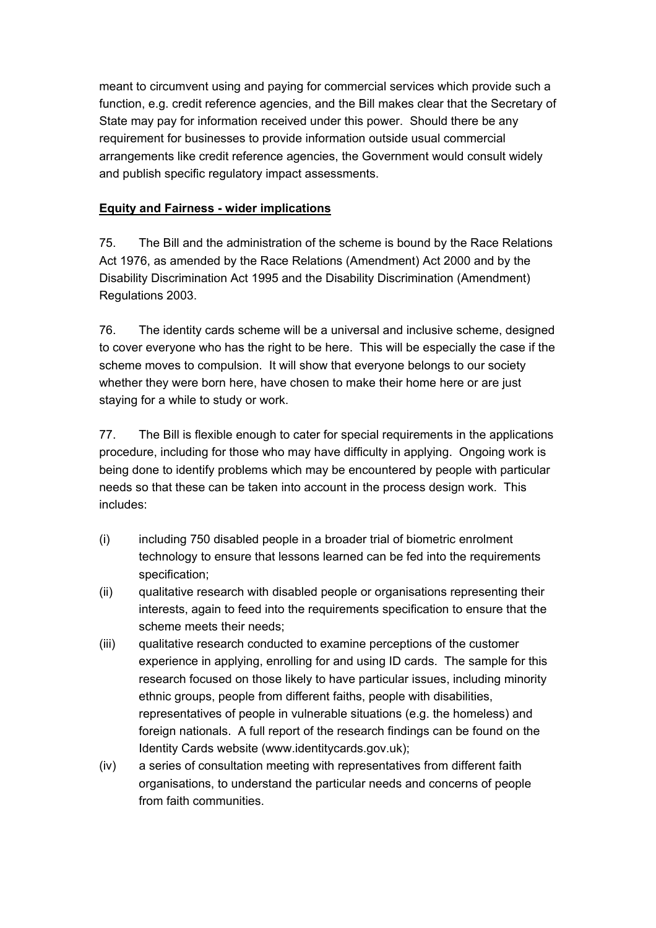meant to circumvent using and paying for commercial services which provide such a function, e.g. credit reference agencies, and the Bill makes clear that the Secretary of State may pay for information received under this power. Should there be any requirement for businesses to provide information outside usual commercial arrangements like credit reference agencies, the Government would consult widely and publish specific regulatory impact assessments.

#### **Equity and Fairness - wider implications**

75. The Bill and the administration of the scheme is bound by the Race Relations Act 1976, as amended by the Race Relations (Amendment) Act 2000 and by the Disability Discrimination Act 1995 and the Disability Discrimination (Amendment) Regulations 2003.

76. The identity cards scheme will be a universal and inclusive scheme, designed to cover everyone who has the right to be here. This will be especially the case if the scheme moves to compulsion. It will show that everyone belongs to our society whether they were born here, have chosen to make their home here or are just staying for a while to study or work.

77. The Bill is flexible enough to cater for special requirements in the applications procedure, including for those who may have difficulty in applying. Ongoing work is being done to identify problems which may be encountered by people with particular needs so that these can be taken into account in the process design work. This includes:

- (i) including 750 disabled people in a broader trial of biometric enrolment technology to ensure that lessons learned can be fed into the requirements specification;
- (ii) qualitative research with disabled people or organisations representing their interests, again to feed into the requirements specification to ensure that the scheme meets their needs;
- (iii) qualitative research conducted to examine perceptions of the customer experience in applying, enrolling for and using ID cards. The sample for this research focused on those likely to have particular issues, including minority ethnic groups, people from different faiths, people with disabilities, representatives of people in vulnerable situations (e.g. the homeless) and foreign nationals. A full report of the research findings can be found on the Identity Cards website (www.identitycards.gov.uk);
- (iv) a series of consultation meeting with representatives from different faith organisations, to understand the particular needs and concerns of people from faith communities.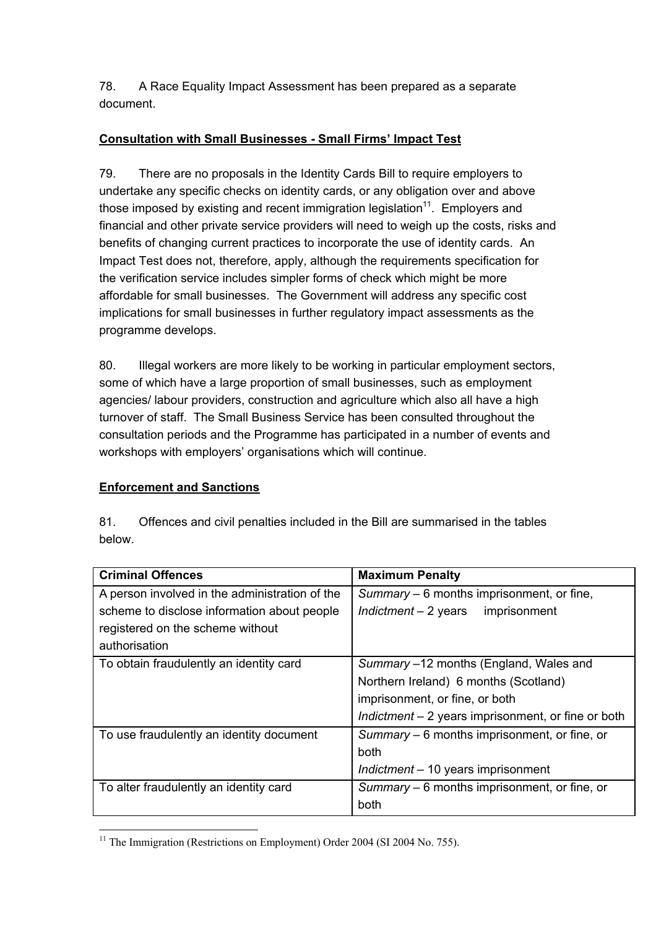78. A Race Equality Impact Assessment has been prepared as a separate document.

## **Consultation with Small Businesses - Small Firms' Impact Test**

79. There are no proposals in the Identity Cards Bill to require employers to undertake any specific checks on identity cards, or any obligation over and above those imposed by existing and recent immigration legislation<sup>11</sup>. Employers and financial and other private service providers will need to weigh up the costs, risks and benefits of changing current practices to incorporate the use of identity cards. An Impact Test does not, therefore, apply, although the requirements specification for the verification service includes simpler forms of check which might be more affordable for small businesses. The Government will address any specific cost implications for small businesses in further regulatory impact assessments as the programme develops.

80. Illegal workers are more likely to be working in particular employment sectors, some of which have a large proportion of small businesses, such as employment agencies/ labour providers, construction and agriculture which also all have a high turnover of staff. The Small Business Service has been consulted throughout the consultation periods and the Programme has participated in a number of events and workshops with employers' organisations which will continue.

# **Enforcement and Sanctions**

| Delow.                                         |                                                     |
|------------------------------------------------|-----------------------------------------------------|
| <b>Criminal Offences</b>                       | <b>Maximum Penalty</b>                              |
| A person involved in the administration of the | Summary - 6 months imprisonment, or fine,           |
| scheme to disclose information about people    | Indictment $-2$ years<br>imprisonment               |
| registered on the scheme without               |                                                     |
| authorisation                                  |                                                     |
| To obtain fraudulently an identity card        | Summary -12 months (England, Wales and              |
|                                                | Northern Ireland) 6 months (Scotland)               |
|                                                | imprisonment, or fine, or both                      |
|                                                | Indictment $-2$ years imprisonment, or fine or both |
| To use fraudulently an identity document       | Summary – 6 months imprisonment, or fine, or        |
|                                                | both                                                |
|                                                | Indictment - 10 years imprisonment                  |
| To alter fraudulently an identity card         | Summary – 6 months imprisonment, or fine, or        |
|                                                | both                                                |

81. Offences and civil penalties included in the Bill are summarised in the tables below.

<span id="page-26-0"></span> $\overline{a}$ <sup>11</sup> The Immigration (Restrictions on Employment) Order 2004 (SI 2004 No. 755).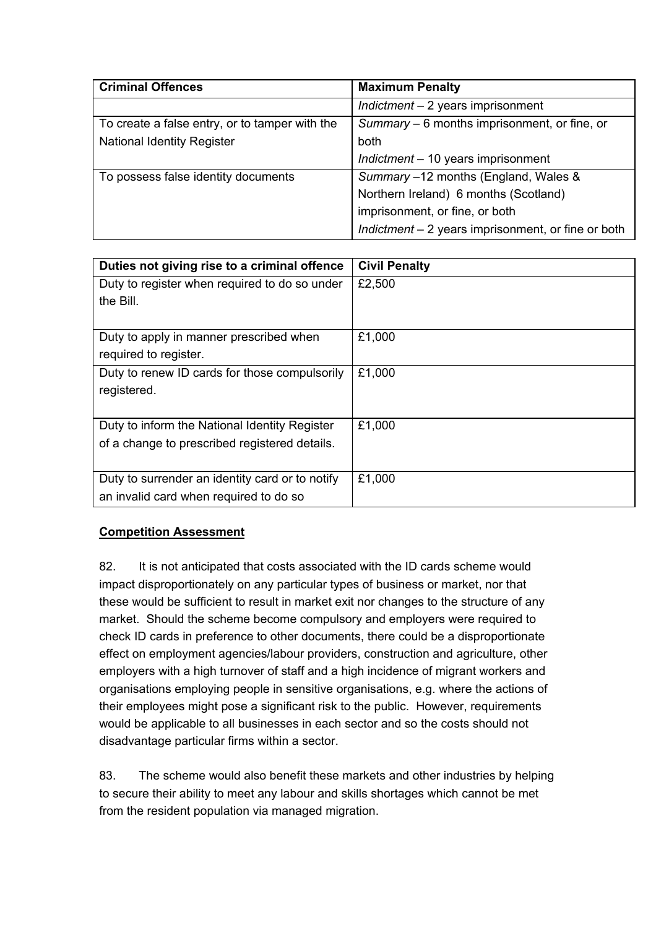| <b>Criminal Offences</b>                       | <b>Maximum Penalty</b>                             |
|------------------------------------------------|----------------------------------------------------|
|                                                | $Indictment - 2 years$ imprisonment                |
| To create a false entry, or to tamper with the | Summary – 6 months imprisonment, or fine, or       |
| <b>National Identity Register</b>              | both                                               |
|                                                | $Indictment - 10 years$ imprisonment               |
| To possess false identity documents            | Summary -12 months (England, Wales &               |
|                                                | Northern Ireland) 6 months (Scotland)              |
|                                                | imprisonment, or fine, or both                     |
|                                                | Indictment - 2 years imprisonment, or fine or both |

| Duties not giving rise to a criminal offence    | <b>Civil Penalty</b> |
|-------------------------------------------------|----------------------|
| Duty to register when required to do so under   | £2,500               |
| the Bill.                                       |                      |
|                                                 |                      |
| Duty to apply in manner prescribed when         | £1,000               |
| required to register.                           |                      |
| Duty to renew ID cards for those compulsorily   | £1,000               |
| registered.                                     |                      |
|                                                 |                      |
| Duty to inform the National Identity Register   | £1,000               |
| of a change to prescribed registered details.   |                      |
|                                                 |                      |
| Duty to surrender an identity card or to notify | £1,000               |
| an invalid card when required to do so          |                      |

## **Competition Assessment**

82. It is not anticipated that costs associated with the ID cards scheme would impact disproportionately on any particular types of business or market, nor that these would be sufficient to result in market exit nor changes to the structure of any market. Should the scheme become compulsory and employers were required to check ID cards in preference to other documents, there could be a disproportionate effect on employment agencies/labour providers, construction and agriculture, other employers with a high turnover of staff and a high incidence of migrant workers and organisations employing people in sensitive organisations, e.g. where the actions of their employees might pose a significant risk to the public. However, requirements would be applicable to all businesses in each sector and so the costs should not disadvantage particular firms within a sector.

83. The scheme would also benefit these markets and other industries by helping to secure their ability to meet any labour and skills shortages which cannot be met from the resident population via managed migration.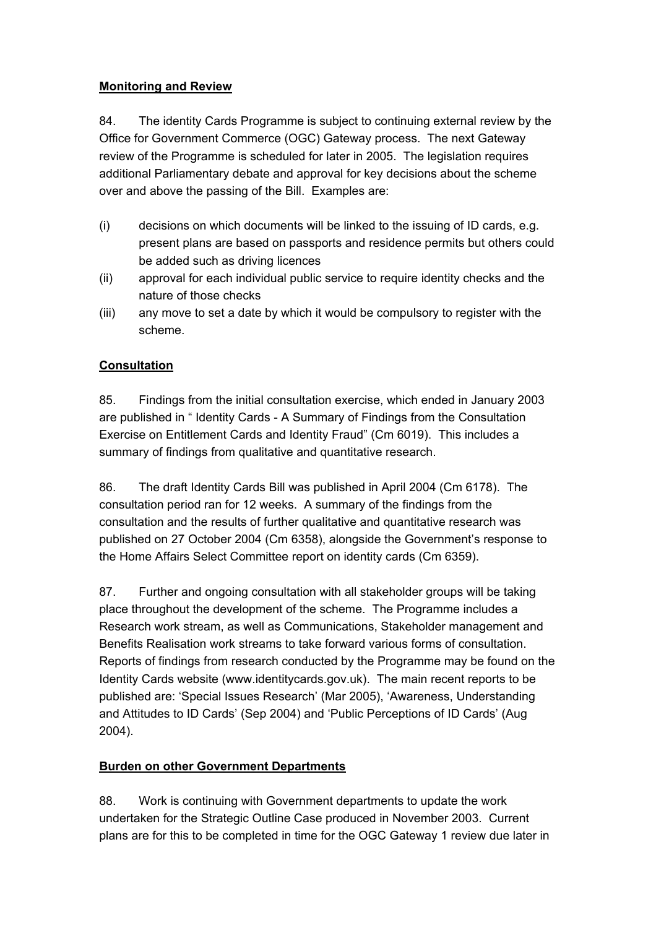#### **Monitoring and Review**

84. The identity Cards Programme is subject to continuing external review by the Office for Government Commerce (OGC) Gateway process. The next Gateway review of the Programme is scheduled for later in 2005. The legislation requires additional Parliamentary debate and approval for key decisions about the scheme over and above the passing of the Bill. Examples are:

- (i) decisions on which documents will be linked to the issuing of ID cards, e.g. present plans are based on passports and residence permits but others could be added such as driving licences
- (ii) approval for each individual public service to require identity checks and the nature of those checks
- (iii) any move to set a date by which it would be compulsory to register with the scheme.

## **Consultation**

85. Findings from the initial consultation exercise, which ended in January 2003 are published in " Identity Cards - A Summary of Findings from the Consultation Exercise on Entitlement Cards and Identity Fraud" (Cm 6019). This includes a summary of findings from qualitative and quantitative research.

86. The draft Identity Cards Bill was published in April 2004 (Cm 6178). The consultation period ran for 12 weeks. A summary of the findings from the consultation and the results of further qualitative and quantitative research was published on 27 October 2004 (Cm 6358), alongside the Government's response to the Home Affairs Select Committee report on identity cards (Cm 6359).

87. Further and ongoing consultation with all stakeholder groups will be taking place throughout the development of the scheme. The Programme includes a Research work stream, as well as Communications, Stakeholder management and Benefits Realisation work streams to take forward various forms of consultation. Reports of findings from research conducted by the Programme may be found on the Identity Cards website (www.identitycards.gov.uk). The main recent reports to be published are: 'Special Issues Research' (Mar 2005), 'Awareness, Understanding and Attitudes to ID Cards' (Sep 2004) and 'Public Perceptions of ID Cards' (Aug 2004).

## **Burden on other Government Departments**

88. Work is continuing with Government departments to update the work undertaken for the Strategic Outline Case produced in November 2003. Current plans are for this to be completed in time for the OGC Gateway 1 review due later in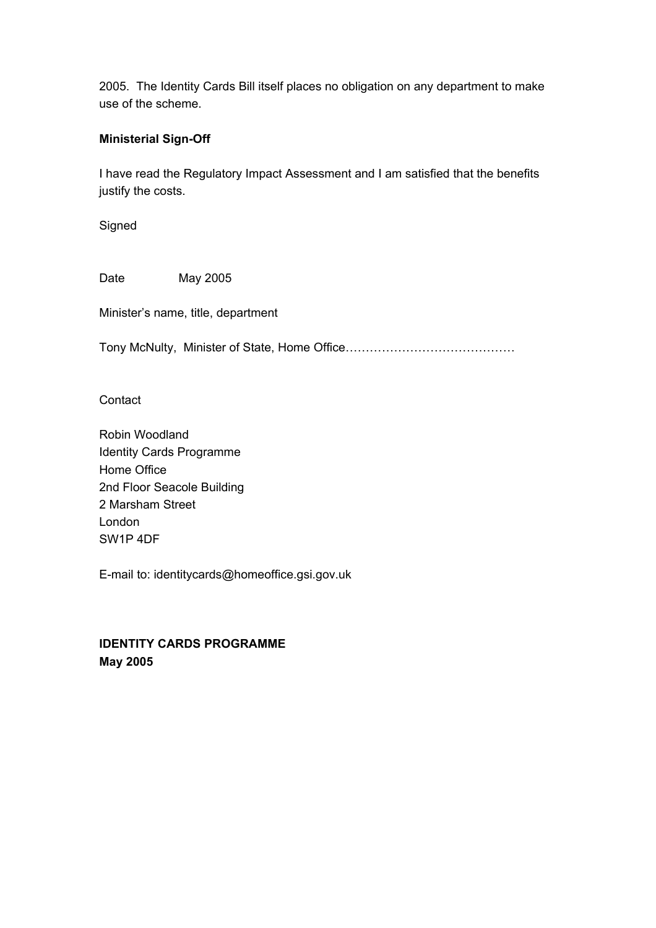2005. The Identity Cards Bill itself places no obligation on any department to make use of the scheme.

#### **Ministerial Sign-Off**

I have read the Regulatory Impact Assessment and I am satisfied that the benefits justify the costs.

**Signed** 

Date May 2005

Minister's name, title, department

Tony McNulty, Minister of State, Home Office……………………………………

**Contact** 

Robin Woodland Identity Cards Programme Home Office 2nd Floor Seacole Building 2 Marsham Street London SW1P 4DF

E-mail to: identitycards@homeoffice.gsi.gov.uk

**IDENTITY CARDS PROGRAMME May 2005**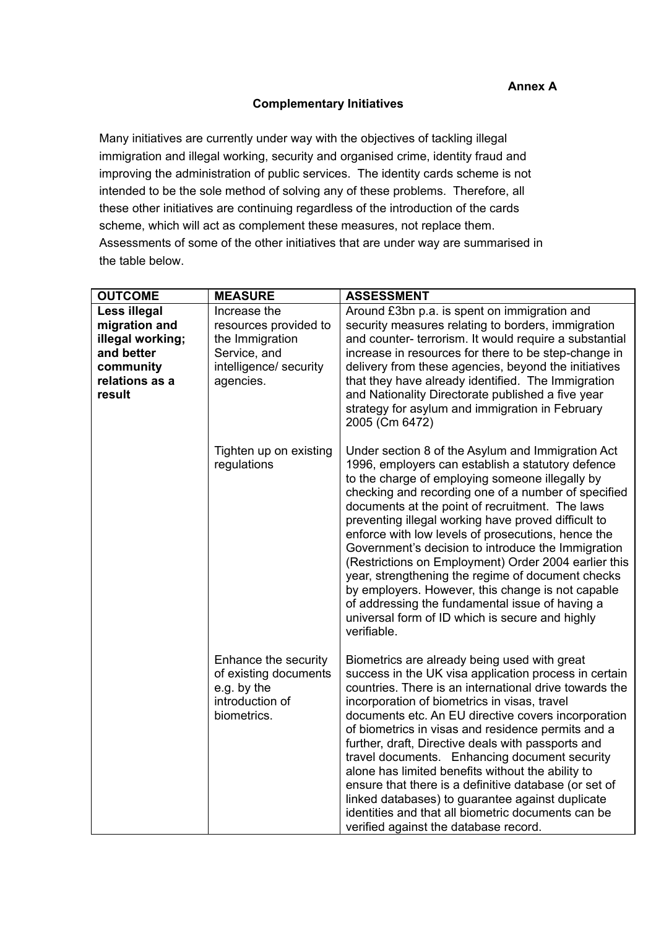#### **Complementary Initiatives**

Many initiatives are currently under way with the objectives of tackling illegal immigration and illegal working, security and organised crime, identity fraud and improving the administration of public services. The identity cards scheme is not intended to be the sole method of solving any of these problems. Therefore, all these other initiatives are continuing regardless of the introduction of the cards scheme, which will act as complement these measures, not replace them. Assessments of some of the other initiatives that are under way are summarised in the table below.

| <b>OUTCOME</b>                                                                                           | <b>MEASURE</b>                                                                                                  | <b>ASSESSMENT</b>                                                                                                                                                                                                                                                                                                                                                                                                                                                                                                                                                                                                                                                                                                             |
|----------------------------------------------------------------------------------------------------------|-----------------------------------------------------------------------------------------------------------------|-------------------------------------------------------------------------------------------------------------------------------------------------------------------------------------------------------------------------------------------------------------------------------------------------------------------------------------------------------------------------------------------------------------------------------------------------------------------------------------------------------------------------------------------------------------------------------------------------------------------------------------------------------------------------------------------------------------------------------|
| Less illegal<br>migration and<br>illegal working;<br>and better<br>community<br>relations as a<br>result | Increase the<br>resources provided to<br>the Immigration<br>Service, and<br>intelligence/ security<br>agencies. | Around £3bn p.a. is spent on immigration and<br>security measures relating to borders, immigration<br>and counter- terrorism. It would require a substantial<br>increase in resources for there to be step-change in<br>delivery from these agencies, beyond the initiatives<br>that they have already identified. The Immigration<br>and Nationality Directorate published a five year<br>strategy for asylum and immigration in February<br>2005 (Cm 6472)                                                                                                                                                                                                                                                                  |
|                                                                                                          | Tighten up on existing<br>regulations                                                                           | Under section 8 of the Asylum and Immigration Act<br>1996, employers can establish a statutory defence<br>to the charge of employing someone illegally by<br>checking and recording one of a number of specified<br>documents at the point of recruitment. The laws<br>preventing illegal working have proved difficult to<br>enforce with low levels of prosecutions, hence the<br>Government's decision to introduce the Immigration<br>(Restrictions on Employment) Order 2004 earlier this<br>year, strengthening the regime of document checks<br>by employers. However, this change is not capable<br>of addressing the fundamental issue of having a<br>universal form of ID which is secure and highly<br>verifiable. |
|                                                                                                          | Enhance the security<br>of existing documents<br>e.g. by the<br>introduction of<br>biometrics.                  | Biometrics are already being used with great<br>success in the UK visa application process in certain<br>countries. There is an international drive towards the<br>incorporation of biometrics in visas, travel<br>documents etc. An EU directive covers incorporation<br>of biometrics in visas and residence permits and a<br>further, draft, Directive deals with passports and<br>travel documents. Enhancing document security<br>alone has limited benefits without the ability to<br>ensure that there is a definitive database (or set of<br>linked databases) to guarantee against duplicate<br>identities and that all biometric documents can be<br>verified against the database record.                          |